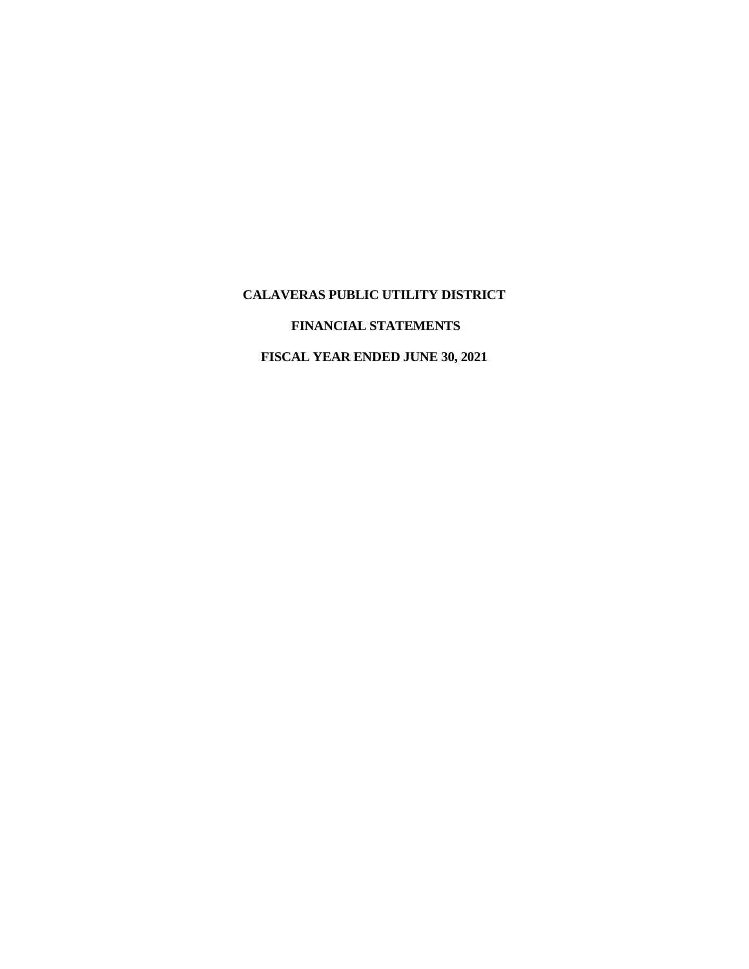# **FINANCIAL STATEMENTS**

# **FISCAL YEAR ENDED JUNE 30, 2021**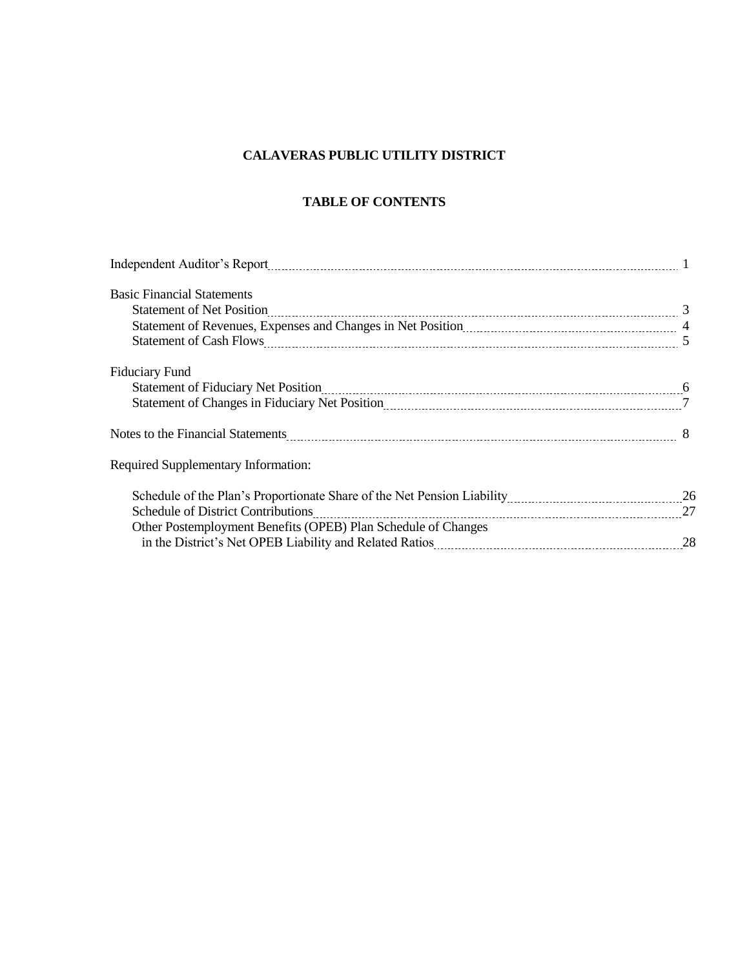# **TABLE OF CONTENTS**

| Independent Auditor's Report <b>Manual Accord 2018</b> 12 and 2018 12 and 2018 12 and 2018 12 and 2018 12 and 2018 12 and 2018 12 and 2018 12 and 2018 12 and 2018 12 and 2018 12 and 2018 12 and 2018 12 and 2018 12 and 2018 12 a |  |
|-------------------------------------------------------------------------------------------------------------------------------------------------------------------------------------------------------------------------------------|--|
| <b>Basic Financial Statements</b>                                                                                                                                                                                                   |  |
|                                                                                                                                                                                                                                     |  |
|                                                                                                                                                                                                                                     |  |
|                                                                                                                                                                                                                                     |  |
| Fiduciary Fund                                                                                                                                                                                                                      |  |
|                                                                                                                                                                                                                                     |  |
| Statement of Changes in Fiduciary Net Position <b>Manual Community Contract Changes</b> 17                                                                                                                                          |  |
|                                                                                                                                                                                                                                     |  |
| <b>Required Supplementary Information:</b>                                                                                                                                                                                          |  |
|                                                                                                                                                                                                                                     |  |
| <b>Schedule of District Contributions</b>                                                                                                                                                                                           |  |
| Other Postemployment Benefits (OPEB) Plan Schedule of Changes                                                                                                                                                                       |  |
|                                                                                                                                                                                                                                     |  |
|                                                                                                                                                                                                                                     |  |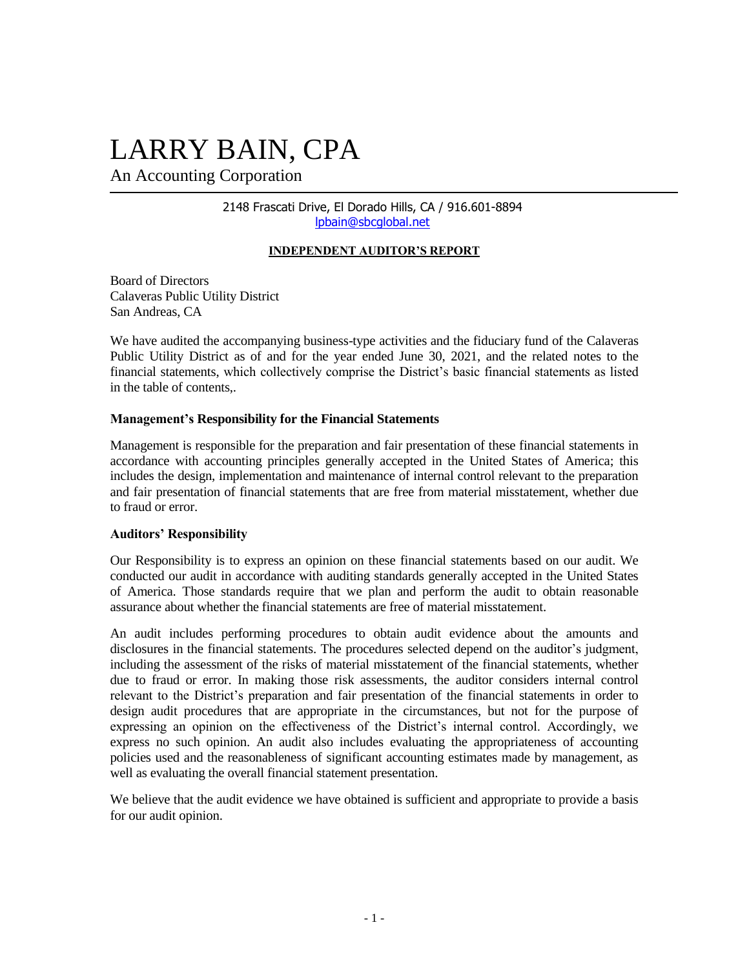# LARRY BAIN, CPA

An Accounting Corporation

2148 Frascati Drive, El Dorado Hills, CA / 916.601-8894 [lpbain@sbcglobal.net](mailto:auditor@marcello-cpa.com)

#### **INDEPENDENT AUDITOR'S REPORT**

Board of Directors Calaveras Public Utility District San Andreas, CA

We have audited the accompanying business-type activities and the fiduciary fund of the Calaveras Public Utility District as of and for the year ended June 30, 2021, and the related notes to the financial statements, which collectively comprise the District's basic financial statements as listed in the table of contents,.

#### **Management's Responsibility for the Financial Statements**

Management is responsible for the preparation and fair presentation of these financial statements in accordance with accounting principles generally accepted in the United States of America; this includes the design, implementation and maintenance of internal control relevant to the preparation and fair presentation of financial statements that are free from material misstatement, whether due to fraud or error.

#### **Auditors' Responsibility**

Our Responsibility is to express an opinion on these financial statements based on our audit. We conducted our audit in accordance with auditing standards generally accepted in the United States of America. Those standards require that we plan and perform the audit to obtain reasonable assurance about whether the financial statements are free of material misstatement.

An audit includes performing procedures to obtain audit evidence about the amounts and disclosures in the financial statements. The procedures selected depend on the auditor's judgment, including the assessment of the risks of material misstatement of the financial statements, whether due to fraud or error. In making those risk assessments, the auditor considers internal control relevant to the District's preparation and fair presentation of the financial statements in order to design audit procedures that are appropriate in the circumstances, but not for the purpose of expressing an opinion on the effectiveness of the District's internal control. Accordingly, we express no such opinion. An audit also includes evaluating the appropriateness of accounting policies used and the reasonableness of significant accounting estimates made by management, as well as evaluating the overall financial statement presentation.

We believe that the audit evidence we have obtained is sufficient and appropriate to provide a basis for our audit opinion.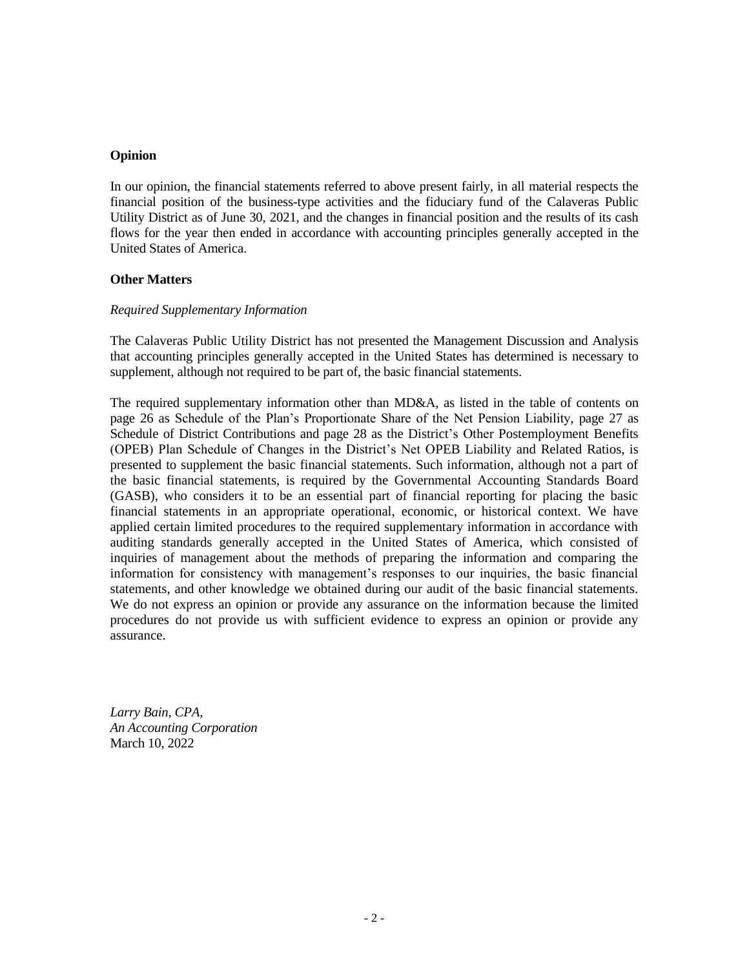#### **Opinion**

In our opinion, the financial statements referred to above present fairly, in all material respects the financial position of the business-type activities and the fiduciary fund of the Calaveras Public Utility District as of June 30, 2021, and the changes in financial position and the results of its cash flows for the year then ended in accordance with accounting principles generally accepted in the United States of America.

#### **Other Matters**

#### *Required Supplementary Information*

The Calaveras Public Utility District has not presented the Management Discussion and Analysis that accounting principles generally accepted in the United States has determined is necessary to supplement, although not required to be part of, the basic financial statements.

The required supplementary information other than MD&A, as listed in the table of contents on page 26 as Schedule of the Plan's Proportionate Share of the Net Pension Liability, page 27 as Schedule of District Contributions and page 28 as the District's Other Postemployment Benefits (OPEB) Plan Schedule of Changes in the District's Net OPEB Liability and Related Ratios, is presented to supplement the basic financial statements. Such information, although not a part of the basic financial statements, is required by the Governmental Accounting Standards Board (GASB), who considers it to be an essential part of financial reporting for placing the basic financial statements in an appropriate operational, economic, or historical context. We have applied certain limited procedures to the required supplementary information in accordance with auditing standards generally accepted in the United States of America, which consisted of inquiries of management about the methods of preparing the information and comparing the information for consistency with management's responses to our inquiries, the basic financial statements, and other knowledge we obtained during our audit of the basic financial statements. We do not express an opinion or provide any assurance on the information because the limited procedures do not provide us with sufficient evidence to express an opinion or provide any assurance.

*Larry Bain, CPA, An Accounting Corporation* March 10, 2022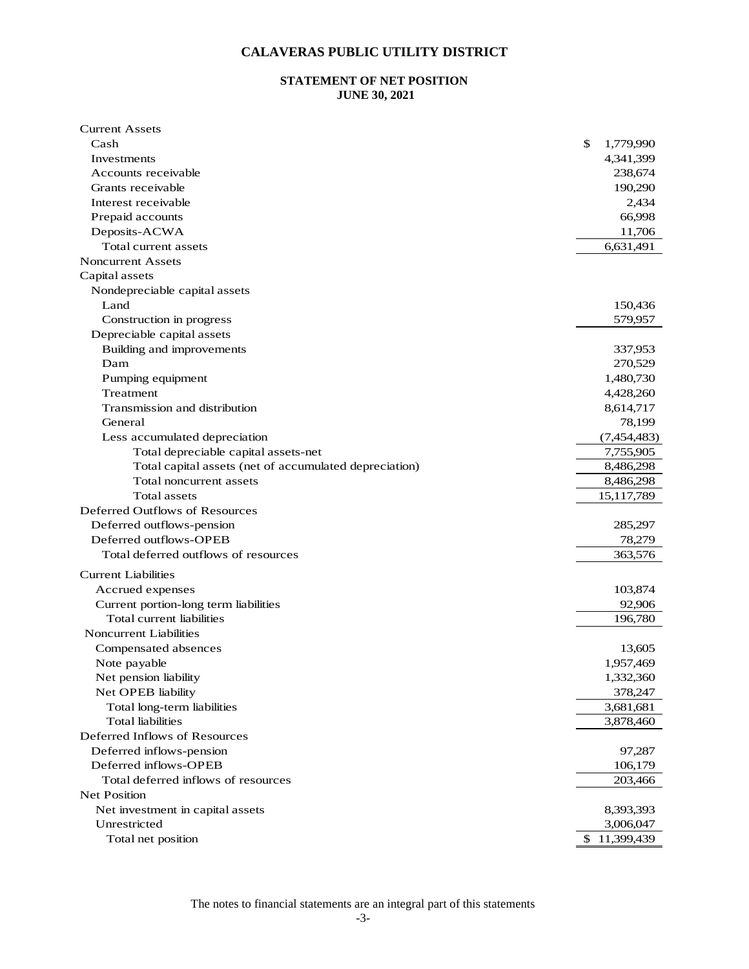#### **STATEMENT OF NET POSITION JUNE 30, 2021**

| <b>Current Assets</b>                                  |                  |
|--------------------------------------------------------|------------------|
| Cash                                                   | \$<br>1,779,990  |
| Investments                                            | 4,341,399        |
| Accounts receivable                                    | 238,674          |
| Grants receivable                                      | 190,290          |
| Interest receivable                                    | 2,434            |
| Prepaid accounts                                       | 66,998           |
| Deposits-ACWA                                          | 11,706           |
| Total current assets                                   | 6,631,491        |
| <b>Noncurrent Assets</b>                               |                  |
| Capital assets                                         |                  |
| Nondepreciable capital assets                          |                  |
| Land                                                   | 150,436          |
| Construction in progress                               | 579,957          |
| Depreciable capital assets                             |                  |
| Building and improvements                              | 337,953          |
| Dam                                                    | 270,529          |
| Pumping equipment                                      | 1,480,730        |
| Treatment                                              | 4,428,260        |
| Transmission and distribution                          | 8,614,717        |
| General                                                | 78,199           |
| Less accumulated depreciation                          | (7,454,483)      |
| Total depreciable capital assets-net                   | 7,755,905        |
| Total capital assets (net of accumulated depreciation) | 8,486,298        |
| Total noncurrent assets                                | 8,486,298        |
| Total assets                                           | 15, 117, 789     |
| Deferred Outflows of Resources                         |                  |
| Deferred outflows-pension                              | 285,297          |
| Deferred outflows-OPEB                                 | 78,279           |
| Total deferred outflows of resources                   | 363,576          |
| <b>Current Liabilities</b>                             |                  |
| Accrued expenses                                       | 103,874          |
| Current portion-long term liabilities                  | 92,906           |
| Total current liabilities                              | 196,780          |
| <b>Noncurrent Liabilities</b>                          |                  |
| Compensated absences                                   | 13,605           |
| Note payable                                           | 1,957,469        |
| Net pension liability                                  | 1,332,360        |
| Net OPEB liability                                     | 378,247          |
| Total long-term liabilities                            | 3,681,681        |
| <b>Total</b> liabilities                               | 3,878,460        |
| Deferred Inflows of Resources                          |                  |
| Deferred inflows-pension                               | 97,287           |
| Deferred inflows-OPEB                                  | 106,179          |
| Total deferred inflows of resources                    | 203,466          |
| <b>Net Position</b>                                    |                  |
| Net investment in capital assets                       | 8,393,393        |
| Unrestricted                                           | 3,006,047        |
| Total net position                                     | \$<br>11,399,439 |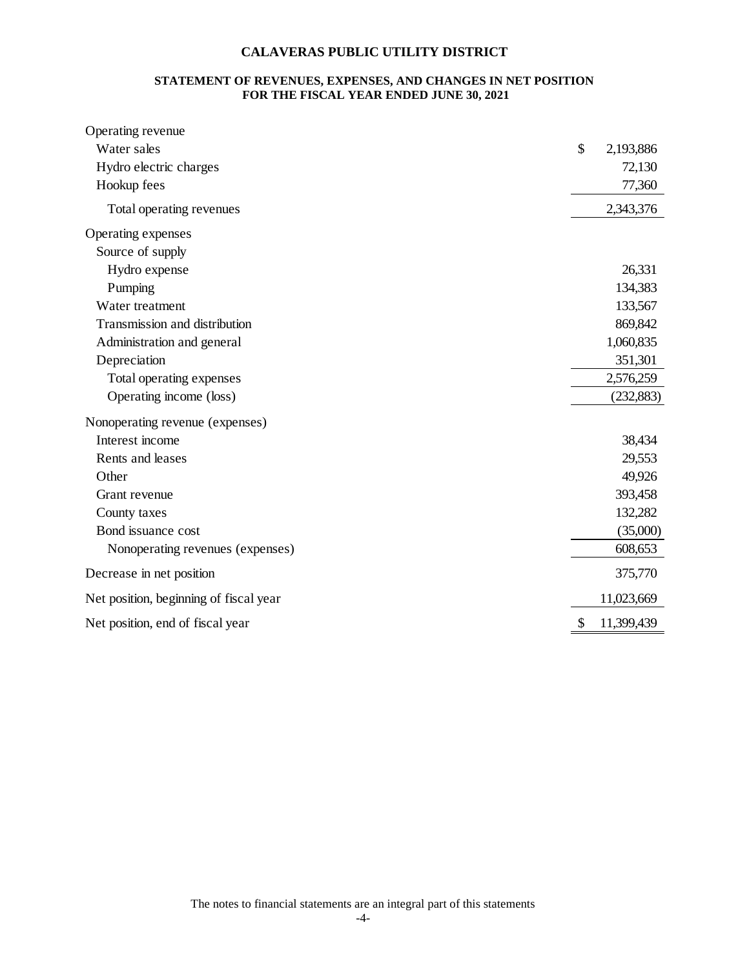#### **STATEMENT OF REVENUES, EXPENSES, AND CHANGES IN NET POSITION FOR THE FISCAL YEAR ENDED JUNE 30, 2021**

| Operating revenue                      |                  |
|----------------------------------------|------------------|
| Water sales                            | \$<br>2,193,886  |
| Hydro electric charges                 | 72,130           |
| Hookup fees                            | 77,360           |
| Total operating revenues               | 2,343,376        |
| Operating expenses                     |                  |
| Source of supply                       |                  |
| Hydro expense                          | 26,331           |
| Pumping                                | 134,383          |
| Water treatment                        | 133,567          |
| Transmission and distribution          | 869,842          |
| Administration and general             | 1,060,835        |
| Depreciation                           | 351,301          |
| Total operating expenses               | 2,576,259        |
| Operating income (loss)                | (232, 883)       |
| Nonoperating revenue (expenses)        |                  |
| Interest income                        | 38,434           |
| Rents and leases                       | 29,553           |
| Other                                  | 49,926           |
| Grant revenue                          | 393,458          |
| County taxes                           | 132,282          |
| Bond issuance cost                     | (35,000)         |
| Nonoperating revenues (expenses)       | 608,653          |
| Decrease in net position               | 375,770          |
| Net position, beginning of fiscal year | 11,023,669       |
| Net position, end of fiscal year       | \$<br>11,399,439 |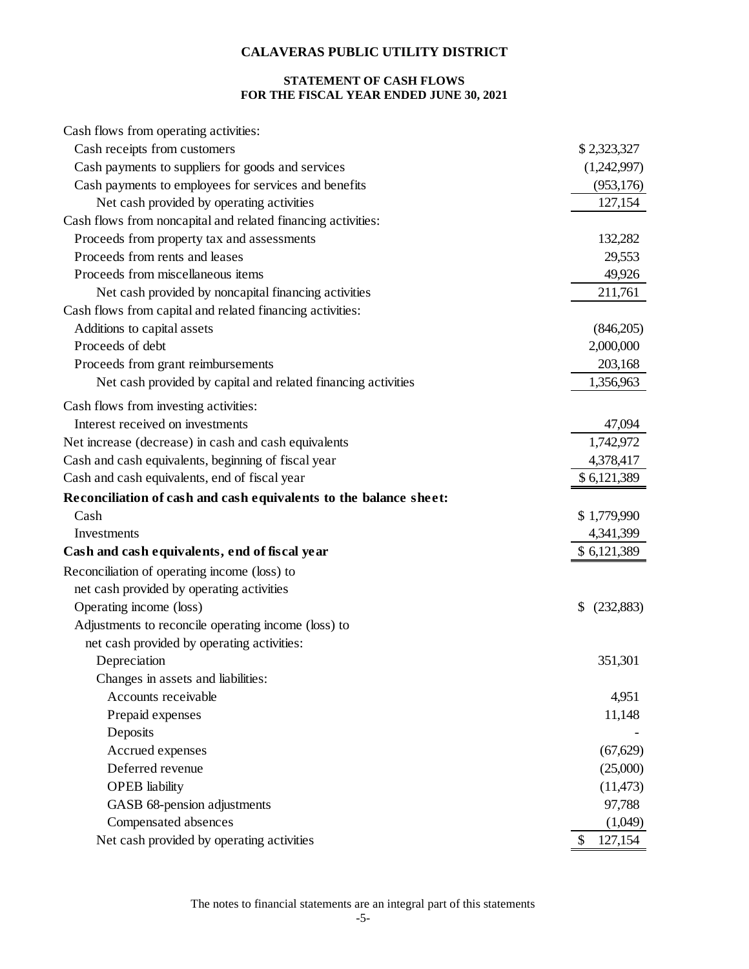### **STATEMENT OF CASH FLOWS FOR THE FISCAL YEAR ENDED JUNE 30, 2021**

| Cash flows from operating activities:                             |                 |
|-------------------------------------------------------------------|-----------------|
| Cash receipts from customers                                      | \$2,323,327     |
| Cash payments to suppliers for goods and services                 | (1,242,997)     |
| Cash payments to employees for services and benefits              | (953, 176)      |
| Net cash provided by operating activities                         | 127,154         |
| Cash flows from noncapital and related financing activities:      |                 |
| Proceeds from property tax and assessments                        | 132,282         |
| Proceeds from rents and leases                                    | 29,553          |
| Proceeds from miscellaneous items                                 | 49,926          |
| Net cash provided by noncapital financing activities              | 211,761         |
| Cash flows from capital and related financing activities:         |                 |
| Additions to capital assets                                       | (846,205)       |
| Proceeds of debt                                                  | 2,000,000       |
| Proceeds from grant reimbursements                                | 203,168         |
| Net cash provided by capital and related financing activities     | 1,356,963       |
| Cash flows from investing activities:                             |                 |
| Interest received on investments                                  | 47,094          |
| Net increase (decrease) in cash and cash equivalents              | 1,742,972       |
| Cash and cash equivalents, beginning of fiscal year               | 4,378,417       |
| Cash and cash equivalents, end of fiscal year                     | \$6,121,389     |
| Reconciliation of cash and cash equivalents to the balance sheet: |                 |
| Cash                                                              | \$1,779,990     |
| Investments                                                       | 4,341,399       |
| Cash and cash equivalents, end of fiscal year                     | \$ 6,121,389    |
| Reconciliation of operating income (loss) to                      |                 |
| net cash provided by operating activities                         |                 |
| Operating income (loss)                                           | \$<br>(232,883) |
| Adjustments to reconcile operating income (loss) to               |                 |
| net cash provided by operating activities:                        |                 |
| Depreciation                                                      | 351,301         |
| Changes in assets and liabilities:                                |                 |
| Accounts receivable                                               | 4,951           |
| Prepaid expenses                                                  | 11,148          |
| Deposits                                                          |                 |
| Accrued expenses                                                  | (67, 629)       |
| Deferred revenue                                                  | (25,000)        |
| <b>OPEB</b> liability                                             | (11, 473)       |
| GASB 68-pension adjustments                                       | 97,788          |
| Compensated absences                                              | (1,049)         |
| Net cash provided by operating activities                         | 127,154<br>\$   |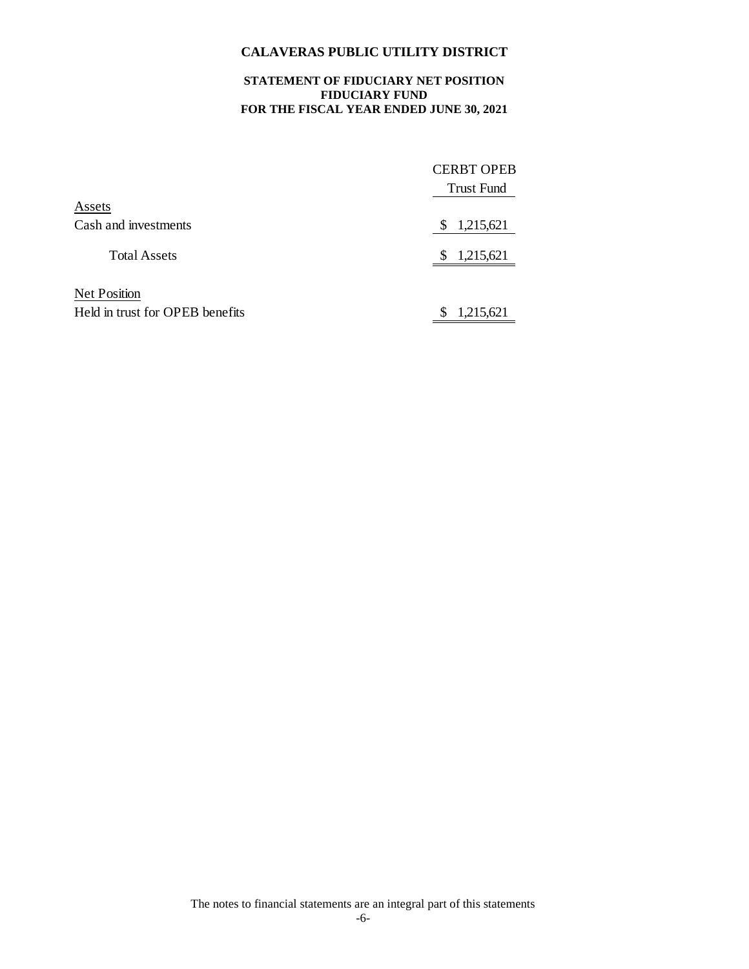#### **STATEMENT OF FIDUCIARY NET POSITION FIDUCIARY FUND FOR THE FISCAL YEAR ENDED JUNE 30, 2021**

|                                 | <b>CERBT OPEB</b><br><b>Trust Fund</b> |
|---------------------------------|----------------------------------------|
| Assets                          |                                        |
| Cash and investments            | 1,215,621<br>S                         |
| <b>Total Assets</b>             | 1,215,621<br>S                         |
| <b>Net Position</b>             |                                        |
| Held in trust for OPEB benefits | 1,215,621<br>S                         |

The notes to financial statements are an integral part of this statements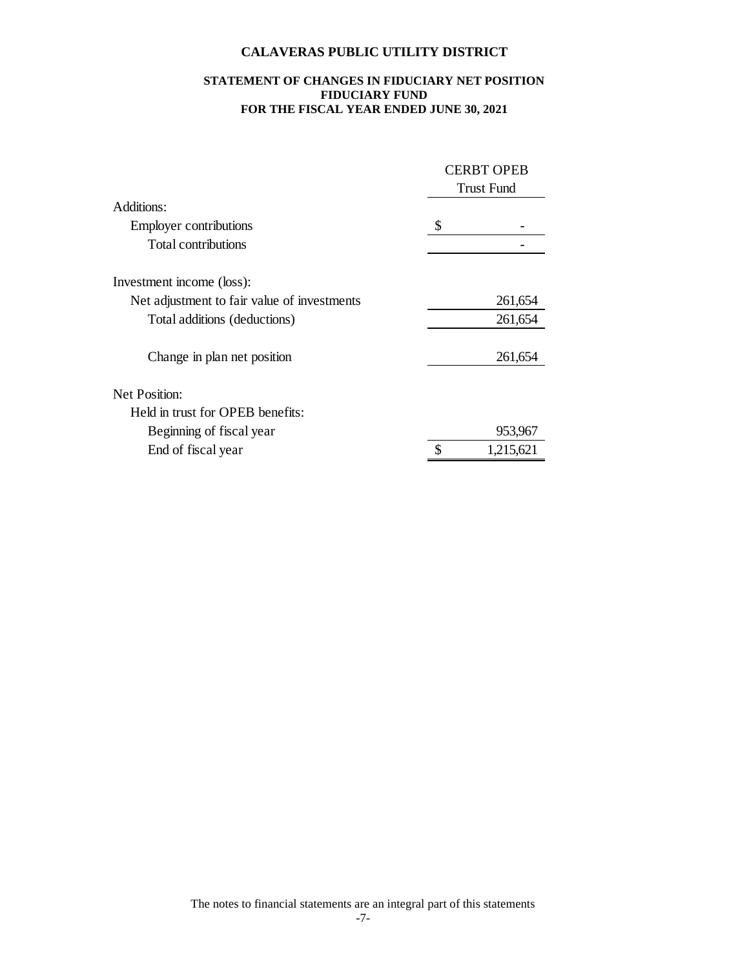#### **STATEMENT OF CHANGES IN FIDUCIARY NET POSITION FIDUCIARY FUND FOR THE FISCAL YEAR ENDED JUNE 30, 2021**

|                                             | <b>CERBT OPEB</b><br><b>Trust Fund</b> |           |  |
|---------------------------------------------|----------------------------------------|-----------|--|
| Additions:                                  |                                        |           |  |
| <b>Employer contributions</b>               | \$                                     |           |  |
| Total contributions                         |                                        |           |  |
| Investment income (loss):                   |                                        |           |  |
| Net adjustment to fair value of investments |                                        | 261,654   |  |
| Total additions (deductions)                |                                        | 261,654   |  |
| Change in plan net position                 |                                        | 261,654   |  |
| Net Position:                               |                                        |           |  |
| Held in trust for OPEB benefits:            |                                        |           |  |
| Beginning of fiscal year                    |                                        | 953,967   |  |
| End of fiscal year                          |                                        | 1,215,621 |  |

The notes to financial statements are an integral part of this statements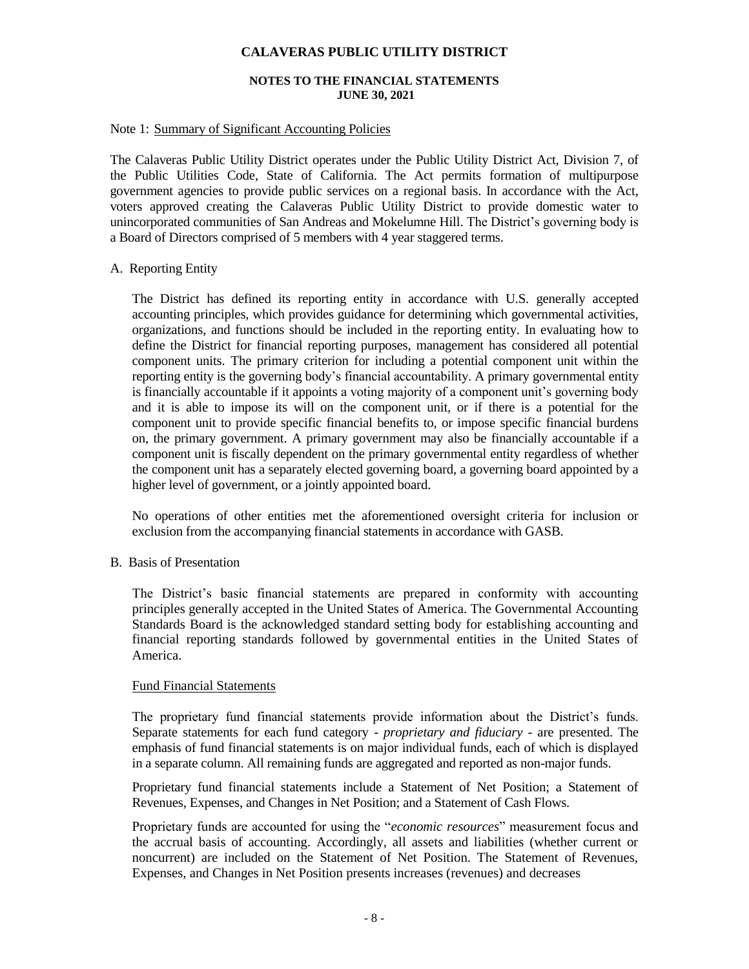#### **NOTES TO THE FINANCIAL STATEMENTS JUNE 30, 2021**

#### Note 1: Summary of Significant Accounting Policies

The Calaveras Public Utility District operates under the Public Utility District Act, Division 7, of the Public Utilities Code, State of California. The Act permits formation of multipurpose government agencies to provide public services on a regional basis. In accordance with the Act, voters approved creating the Calaveras Public Utility District to provide domestic water to unincorporated communities of San Andreas and Mokelumne Hill. The District's governing body is a Board of Directors comprised of 5 members with 4 year staggered terms.

#### A. Reporting Entity

The District has defined its reporting entity in accordance with U.S. generally accepted accounting principles, which provides guidance for determining which governmental activities, organizations, and functions should be included in the reporting entity. In evaluating how to define the District for financial reporting purposes, management has considered all potential component units. The primary criterion for including a potential component unit within the reporting entity is the governing body's financial accountability. A primary governmental entity is financially accountable if it appoints a voting majority of a component unit's governing body and it is able to impose its will on the component unit, or if there is a potential for the component unit to provide specific financial benefits to, or impose specific financial burdens on, the primary government. A primary government may also be financially accountable if a component unit is fiscally dependent on the primary governmental entity regardless of whether the component unit has a separately elected governing board, a governing board appointed by a higher level of government, or a jointly appointed board.

No operations of other entities met the aforementioned oversight criteria for inclusion or exclusion from the accompanying financial statements in accordance with GASB.

#### B. Basis of Presentation

The District's basic financial statements are prepared in conformity with accounting principles generally accepted in the United States of America. The Governmental Accounting Standards Board is the acknowledged standard setting body for establishing accounting and financial reporting standards followed by governmental entities in the United States of America.

#### Fund Financial Statements

The proprietary fund financial statements provide information about the District's funds. Separate statements for each fund category - *proprietary and fiduciary* - are presented. The emphasis of fund financial statements is on major individual funds, each of which is displayed in a separate column. All remaining funds are aggregated and reported as non-major funds.

Proprietary fund financial statements include a Statement of Net Position; a Statement of Revenues, Expenses, and Changes in Net Position; and a Statement of Cash Flows.

Proprietary funds are accounted for using the "*economic resources*" measurement focus and the accrual basis of accounting. Accordingly, all assets and liabilities (whether current or noncurrent) are included on the Statement of Net Position. The Statement of Revenues, Expenses, and Changes in Net Position presents increases (revenues) and decreases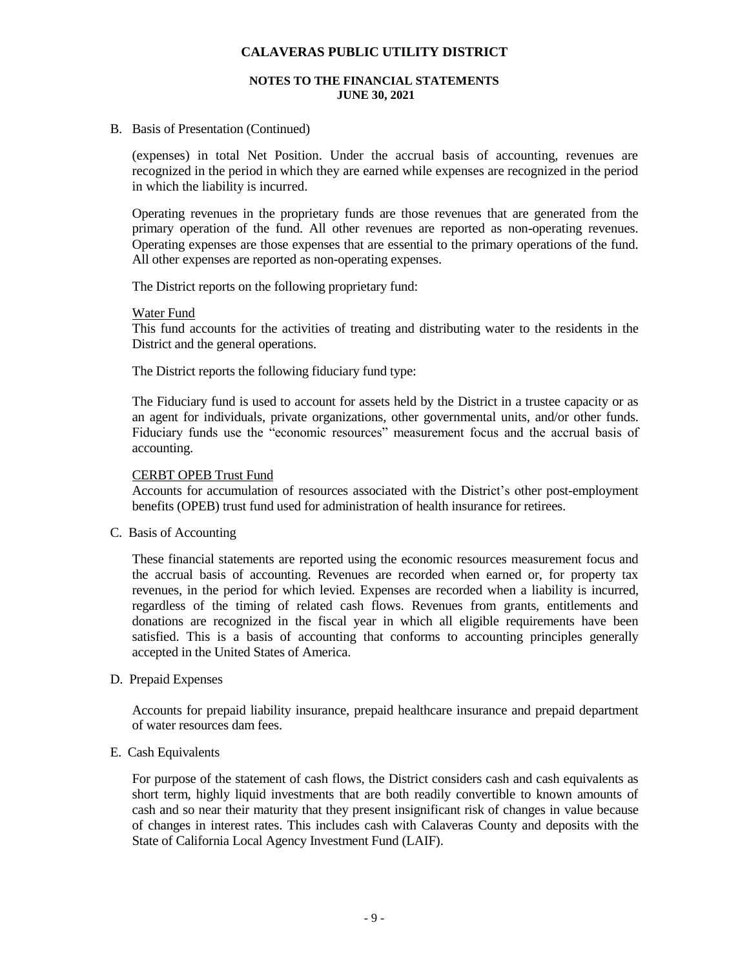#### **NOTES TO THE FINANCIAL STATEMENTS JUNE 30, 2021**

B. Basis of Presentation (Continued)

(expenses) in total Net Position. Under the accrual basis of accounting, revenues are recognized in the period in which they are earned while expenses are recognized in the period in which the liability is incurred.

Operating revenues in the proprietary funds are those revenues that are generated from the primary operation of the fund. All other revenues are reported as non-operating revenues. Operating expenses are those expenses that are essential to the primary operations of the fund. All other expenses are reported as non-operating expenses.

The District reports on the following proprietary fund:

#### Water Fund

This fund accounts for the activities of treating and distributing water to the residents in the District and the general operations.

The District reports the following fiduciary fund type:

The Fiduciary fund is used to account for assets held by the District in a trustee capacity or as an agent for individuals, private organizations, other governmental units, and/or other funds. Fiduciary funds use the "economic resources" measurement focus and the accrual basis of accounting.

#### CERBT OPEB Trust Fund

Accounts for accumulation of resources associated with the District's other post-employment benefits (OPEB) trust fund used for administration of health insurance for retirees.

C. Basis of Accounting

These financial statements are reported using the economic resources measurement focus and the accrual basis of accounting. Revenues are recorded when earned or, for property tax revenues, in the period for which levied. Expenses are recorded when a liability is incurred, regardless of the timing of related cash flows. Revenues from grants, entitlements and donations are recognized in the fiscal year in which all eligible requirements have been satisfied. This is a basis of accounting that conforms to accounting principles generally accepted in the United States of America.

#### D. Prepaid Expenses

Accounts for prepaid liability insurance, prepaid healthcare insurance and prepaid department of water resources dam fees.

#### E. Cash Equivalents

For purpose of the statement of cash flows, the District considers cash and cash equivalents as short term, highly liquid investments that are both readily convertible to known amounts of cash and so near their maturity that they present insignificant risk of changes in value because of changes in interest rates. This includes cash with Calaveras County and deposits with the State of California Local Agency Investment Fund (LAIF).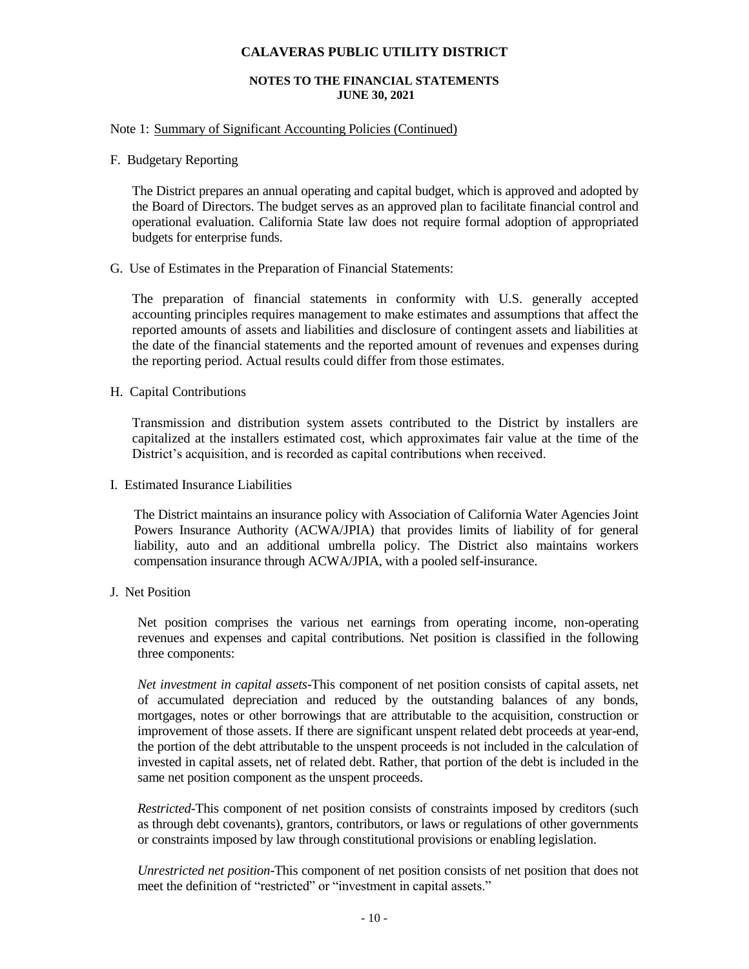#### **NOTES TO THE FINANCIAL STATEMENTS JUNE 30, 2021**

#### Note 1: Summary of Significant Accounting Policies (Continued)

F. Budgetary Reporting

The District prepares an annual operating and capital budget, which is approved and adopted by the Board of Directors. The budget serves as an approved plan to facilitate financial control and operational evaluation. California State law does not require formal adoption of appropriated budgets for enterprise funds.

G. Use of Estimates in the Preparation of Financial Statements:

The preparation of financial statements in conformity with U.S. generally accepted accounting principles requires management to make estimates and assumptions that affect the reported amounts of assets and liabilities and disclosure of contingent assets and liabilities at the date of the financial statements and the reported amount of revenues and expenses during the reporting period. Actual results could differ from those estimates.

H. Capital Contributions

Transmission and distribution system assets contributed to the District by installers are capitalized at the installers estimated cost, which approximates fair value at the time of the District's acquisition, and is recorded as capital contributions when received.

I. Estimated Insurance Liabilities

The District maintains an insurance policy with Association of California Water Agencies Joint Powers Insurance Authority (ACWA/JPIA) that provides limits of liability of for general liability, auto and an additional umbrella policy. The District also maintains workers compensation insurance through ACWA/JPIA, with a pooled self-insurance.

J. Net Position

Net position comprises the various net earnings from operating income, non-operating revenues and expenses and capital contributions. Net position is classified in the following three components:

*Net investment in capital assets*-This component of net position consists of capital assets, net of accumulated depreciation and reduced by the outstanding balances of any bonds, mortgages, notes or other borrowings that are attributable to the acquisition, construction or improvement of those assets. If there are significant unspent related debt proceeds at year-end, the portion of the debt attributable to the unspent proceeds is not included in the calculation of invested in capital assets, net of related debt. Rather, that portion of the debt is included in the same net position component as the unspent proceeds.

*Restricted-*This component of net position consists of constraints imposed by creditors (such as through debt covenants), grantors, contributors, or laws or regulations of other governments or constraints imposed by law through constitutional provisions or enabling legislation.

*Unrestricted net position-*This component of net position consists of net position that does not meet the definition of "restricted" or "investment in capital assets."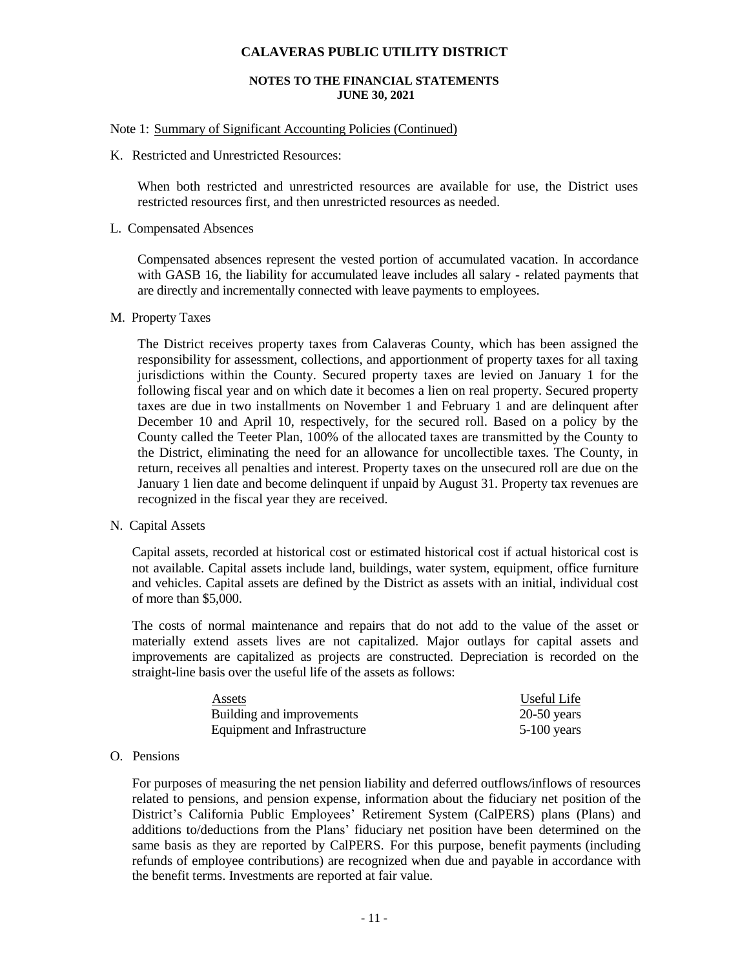#### **NOTES TO THE FINANCIAL STATEMENTS JUNE 30, 2021**

#### Note 1: Summary of Significant Accounting Policies (Continued)

K. Restricted and Unrestricted Resources:

When both restricted and unrestricted resources are available for use, the District uses restricted resources first, and then unrestricted resources as needed.

#### L. Compensated Absences

Compensated absences represent the vested portion of accumulated vacation. In accordance with GASB 16, the liability for accumulated leave includes all salary - related payments that are directly and incrementally connected with leave payments to employees.

#### M. Property Taxes

The District receives property taxes from Calaveras County, which has been assigned the responsibility for assessment, collections, and apportionment of property taxes for all taxing jurisdictions within the County. Secured property taxes are levied on January 1 for the following fiscal year and on which date it becomes a lien on real property. Secured property taxes are due in two installments on November 1 and February 1 and are delinquent after December 10 and April 10, respectively, for the secured roll. Based on a policy by the County called the Teeter Plan, 100% of the allocated taxes are transmitted by the County to the District, eliminating the need for an allowance for uncollectible taxes. The County, in return, receives all penalties and interest. Property taxes on the unsecured roll are due on the January 1 lien date and become delinquent if unpaid by August 31. Property tax revenues are recognized in the fiscal year they are received.

#### N. Capital Assets

Capital assets, recorded at historical cost or estimated historical cost if actual historical cost is not available. Capital assets include land, buildings, water system, equipment, office furniture and vehicles. Capital assets are defined by the District as assets with an initial, individual cost of more than \$5,000.

The costs of normal maintenance and repairs that do not add to the value of the asset or materially extend assets lives are not capitalized. Major outlays for capital assets and improvements are capitalized as projects are constructed. Depreciation is recorded on the straight-line basis over the useful life of the assets as follows:

| Assets                       | Useful Life   |
|------------------------------|---------------|
| Building and improvements    | $20-50$ years |
| Equipment and Infrastructure | $5-100$ years |

#### O. Pensions

For purposes of measuring the net pension liability and deferred outflows/inflows of resources related to pensions, and pension expense, information about the fiduciary net position of the District's California Public Employees' Retirement System (CalPERS) plans (Plans) and additions to/deductions from the Plans' fiduciary net position have been determined on the same basis as they are reported by CalPERS. For this purpose, benefit payments (including refunds of employee contributions) are recognized when due and payable in accordance with the benefit terms. Investments are reported at fair value.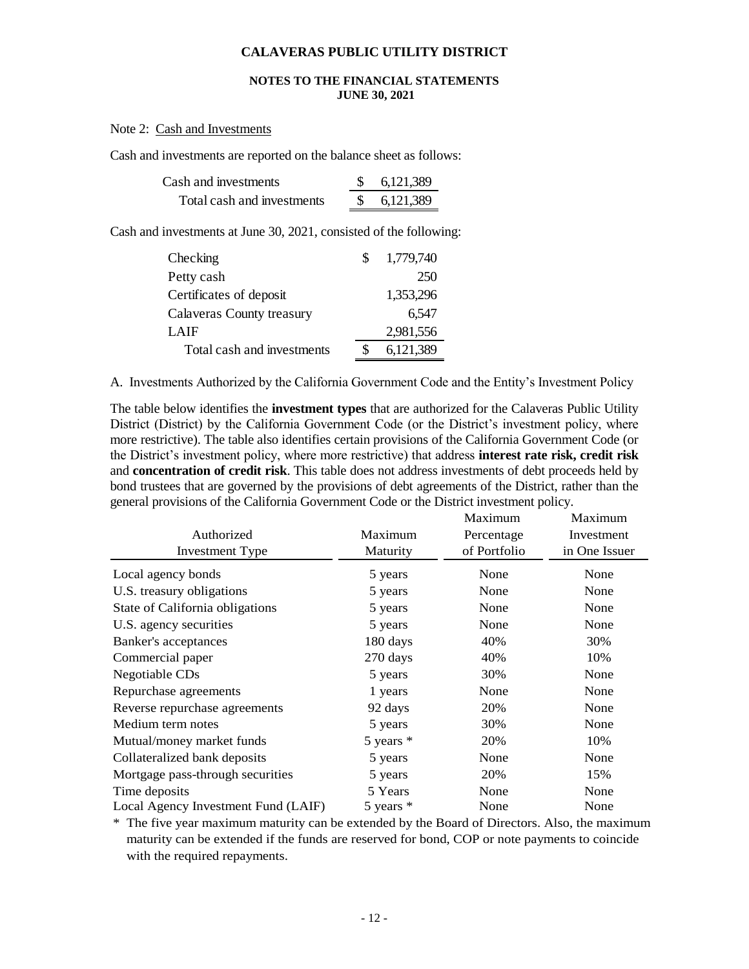#### **NOTES TO THE FINANCIAL STATEMENTS JUNE 30, 2021**

#### Note 2: Cash and Investments

Cash and investments are reported on the balance sheet as follows:

| Cash and investments       | 6,121,389 |
|----------------------------|-----------|
| Total cash and investments | 6,121,389 |

Cash and investments at June 30, 2021, consisted of the following:

| Checking                   | 1,779,740 |
|----------------------------|-----------|
| Petty cash                 | 250       |
| Certificates of deposit    | 1,353,296 |
| Calaveras County treasury  | 6,547     |
| LAIF                       | 2,981,556 |
| Total cash and investments | 6,121,389 |

A. Investments Authorized by the California Government Code and the Entity's Investment Policy

The table below identifies the **investment types** that are authorized for the Calaveras Public Utility District (District) by the California Government Code (or the District's investment policy, where more restrictive). The table also identifies certain provisions of the California Government Code (or the District's investment policy, where more restrictive) that address **interest rate risk, credit risk** and **concentration of credit risk**. This table does not address investments of debt proceeds held by bond trustees that are governed by the provisions of debt agreements of the District, rather than the general provisions of the California Government Code or the District investment policy.

|                                     |               | Maximum      | Maximum       |
|-------------------------------------|---------------|--------------|---------------|
| Authorized                          | Maximum       | Percentage   | Investment    |
| <b>Investment Type</b>              | Maturity      | of Portfolio | in One Issuer |
| Local agency bonds                  | 5 years       | None         | None          |
| U.S. treasury obligations           | 5 years       | None         | None          |
| State of California obligations     | 5 years       | None         | None          |
| U.S. agency securities              | 5 years       | None         | None          |
| Banker's acceptances                | 180 days      | 40%          | 30%           |
| Commercial paper                    | 270 days      | 40%          | 10%           |
| Negotiable CDs                      | 5 years       | 30%          | None          |
| Repurchase agreements               | 1 years       | None         | None          |
| Reverse repurchase agreements       | 92 days       | 20%          | None          |
| Medium term notes                   | 5 years       | 30%          | None          |
| Mutual/money market funds           | $5$ years $*$ | 20%          | 10%           |
| Collateralized bank deposits        | 5 years       | None         | None          |
| Mortgage pass-through securities    | 5 years       | 20%          | 15%           |
| Time deposits                       | 5 Years       | None         | None          |
| Local Agency Investment Fund (LAIF) | 5 years $*$   | None         | None          |

\* The five year maximum maturity can be extended by the Board of Directors. Also, the maximum maturity can be extended if the funds are reserved for bond, COP or note payments to coincide with the required repayments.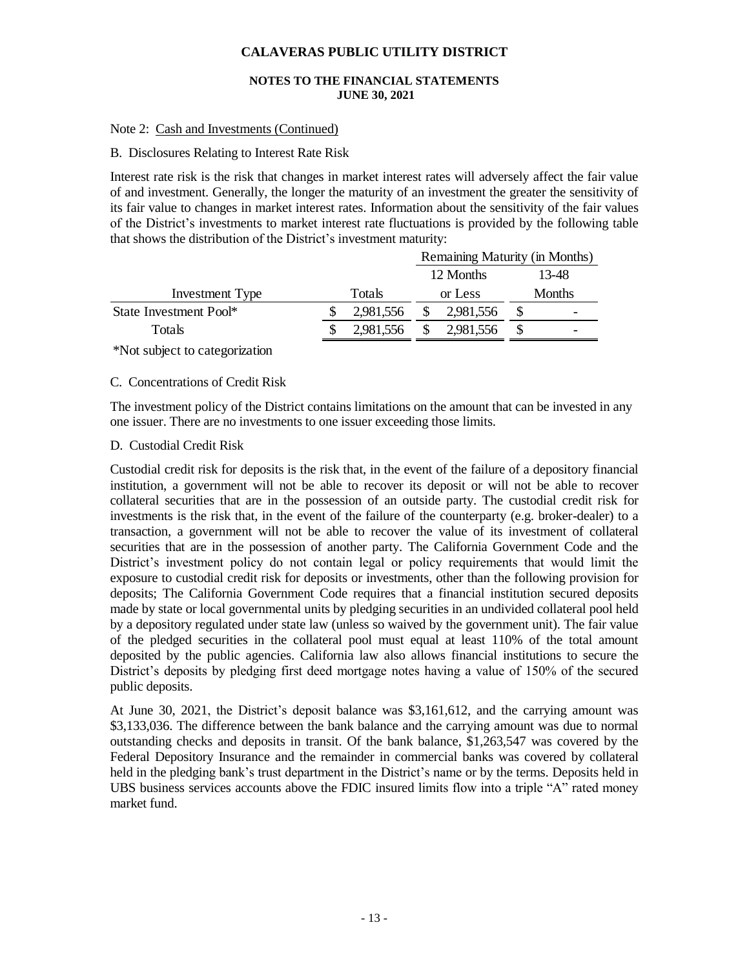#### **NOTES TO THE FINANCIAL STATEMENTS JUNE 30, 2021**

#### Note 2: Cash and Investments (Continued)

#### B. Disclosures Relating to Interest Rate Risk

Interest rate risk is the risk that changes in market interest rates will adversely affect the fair value of and investment. Generally, the longer the maturity of an investment the greater the sensitivity of its fair value to changes in market interest rates. Information about the sensitivity of the fair values of the District's investments to market interest rate fluctuations is provided by the following table that shows the distribution of the District's investment maturity:

|                        | Remaining Maturity (in Months) |           |  |           |  |               |
|------------------------|--------------------------------|-----------|--|-----------|--|---------------|
|                        |                                |           |  | 12 Months |  | 13-48         |
| Investment Type        |                                | Totals    |  | or Less   |  | <b>Months</b> |
| State Investment Pool* |                                | 2,981,556 |  | 2,981,556 |  |               |
| Totals                 |                                | 2,981,556 |  | 2,981,556 |  |               |
|                        |                                |           |  |           |  |               |

\*Not subject to categorization

#### C. Concentrations of Credit Risk

The investment policy of the District contains limitations on the amount that can be invested in any one issuer. There are no investments to one issuer exceeding those limits.

#### D. Custodial Credit Risk

Custodial credit risk for deposits is the risk that, in the event of the failure of a depository financial institution, a government will not be able to recover its deposit or will not be able to recover collateral securities that are in the possession of an outside party. The custodial credit risk for investments is the risk that, in the event of the failure of the counterparty (e.g. broker-dealer) to a transaction, a government will not be able to recover the value of its investment of collateral securities that are in the possession of another party. The California Government Code and the District's investment policy do not contain legal or policy requirements that would limit the exposure to custodial credit risk for deposits or investments, other than the following provision for deposits; The California Government Code requires that a financial institution secured deposits made by state or local governmental units by pledging securities in an undivided collateral pool held by a depository regulated under state law (unless so waived by the government unit). The fair value of the pledged securities in the collateral pool must equal at least 110% of the total amount deposited by the public agencies. California law also allows financial institutions to secure the District's deposits by pledging first deed mortgage notes having a value of 150% of the secured public deposits.

At June 30, 2021, the District's deposit balance was \$3,161,612, and the carrying amount was \$3,133,036. The difference between the bank balance and the carrying amount was due to normal outstanding checks and deposits in transit. Of the bank balance, \$1,263,547 was covered by the Federal Depository Insurance and the remainder in commercial banks was covered by collateral held in the pledging bank's trust department in the District's name or by the terms. Deposits held in UBS business services accounts above the FDIC insured limits flow into a triple "A" rated money market fund.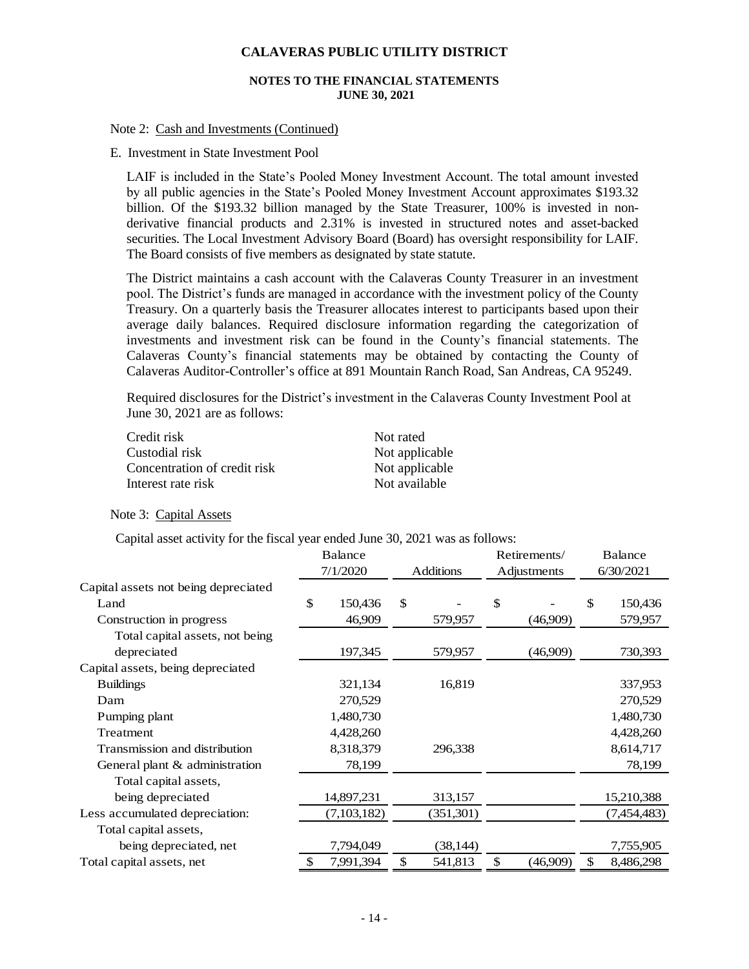#### **NOTES TO THE FINANCIAL STATEMENTS JUNE 30, 2021**

#### Note 2: Cash and Investments (Continued)

#### E. Investment in State Investment Pool

LAIF is included in the State's Pooled Money Investment Account. The total amount invested by all public agencies in the State's Pooled Money Investment Account approximates \$193.32 billion. Of the \$193.32 billion managed by the State Treasurer, 100% is invested in nonderivative financial products and 2.31% is invested in structured notes and asset-backed securities. The Local Investment Advisory Board (Board) has oversight responsibility for LAIF. The Board consists of five members as designated by state statute.

The District maintains a cash account with the Calaveras County Treasurer in an investment pool. The District's funds are managed in accordance with the investment policy of the County Treasury. On a quarterly basis the Treasurer allocates interest to participants based upon their average daily balances. Required disclosure information regarding the categorization of investments and investment risk can be found in the County's financial statements. The Calaveras County's financial statements may be obtained by contacting the County of Calaveras Auditor-Controller's office at 891 Mountain Ranch Road, San Andreas, CA 95249.

Required disclosures for the District's investment in the Calaveras County Investment Pool at June 30, 2021 are as follows:

| Credit risk                  | Not rated      |
|------------------------------|----------------|
| Custodial risk               | Not applicable |
| Concentration of credit risk | Not applicable |
| Interest rate risk           | Not available  |

Note 3: Capital Assets

Capital asset activity for the fiscal year ended June 30, 2021 was as follows:

|                                      | <b>Balance</b> |             |                  | Retirements/ |          | Balance |             |
|--------------------------------------|----------------|-------------|------------------|--------------|----------|---------|-------------|
|                                      |                | 7/1/2020    | <b>Additions</b> | Adjustments  |          |         | 6/30/2021   |
| Capital assets not being depreciated |                |             |                  |              |          |         |             |
| Land                                 | \$             | 150,436     | \$               | S            |          | \$      | 150,436     |
| Construction in progress             |                | 46,909      | 579,957          |              | (46,909) |         | 579,957     |
| Total capital assets, not being      |                |             |                  |              |          |         |             |
| depreciated                          |                | 197,345     | 579,957          |              | (46,909) |         | 730,393     |
| Capital assets, being depreciated    |                |             |                  |              |          |         |             |
| <b>Buildings</b>                     |                | 321,134     | 16,819           |              |          |         | 337,953     |
| Dam                                  |                | 270,529     |                  |              |          |         | 270,529     |
| Pumping plant                        |                | 1,480,730   |                  |              |          |         | 1,480,730   |
| Treatment                            |                | 4,428,260   |                  |              |          |         | 4,428,260   |
| Transmission and distribution        |                | 8,318,379   | 296,338          |              |          |         | 8,614,717   |
| General plant & administration       |                | 78,199      |                  |              |          |         | 78,199      |
| Total capital assets,                |                |             |                  |              |          |         |             |
| being depreciated                    |                | 14,897,231  | 313,157          |              |          |         | 15,210,388  |
| Less accumulated depreciation:       |                | (7,103,182) | (351,301)        |              |          |         | (7,454,483) |
| Total capital assets,                |                |             |                  |              |          |         |             |
| being depreciated, net               |                | 7,794,049   | (38, 144)        |              |          |         | 7,755,905   |
| Total capital assets, net            | \$             | 7,991,394   | \$<br>541,813    | \$           | (46,909) | \$      | 8,486,298   |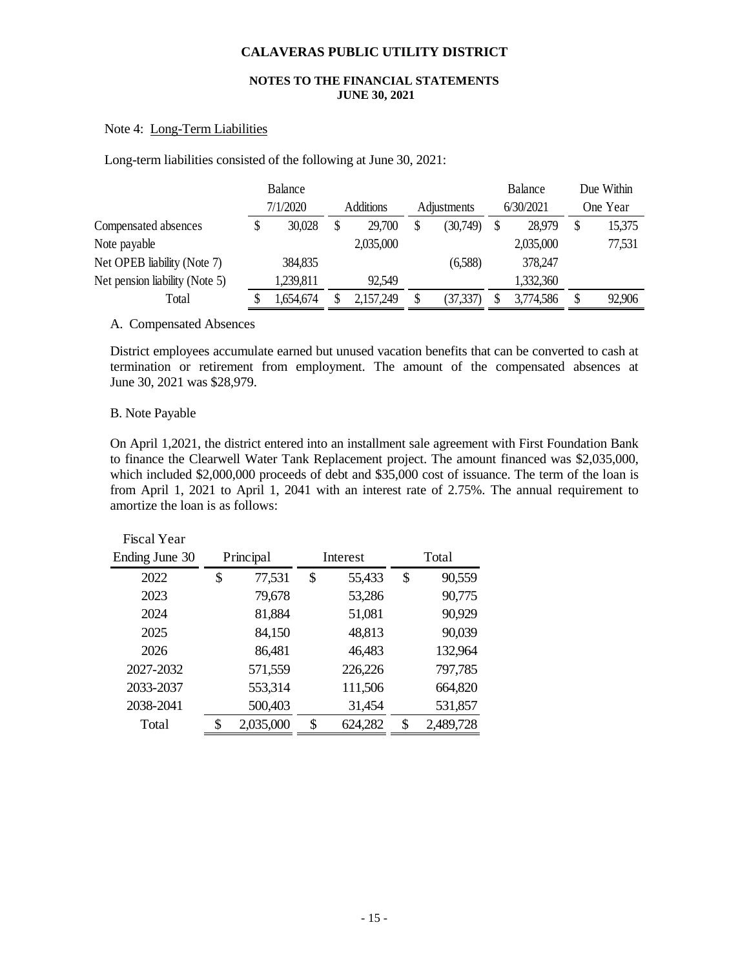#### **NOTES TO THE FINANCIAL STATEMENTS JUNE 30, 2021**

### Note 4: Long-Term Liabilities

Long-term liabilities consisted of the following at June 30, 2021:

|                                | Balance |           |  |                  |    | Balance     |  |           | Due Within |          |
|--------------------------------|---------|-----------|--|------------------|----|-------------|--|-----------|------------|----------|
|                                |         | 7/1/2020  |  | <b>Additions</b> |    | Adjustments |  | 6/30/2021 |            | One Year |
| Compensated absences           |         | 30,028    |  | 29,700           | \$ | (30,749)    |  | 28,979    | \$         | 15,375   |
| Note payable                   |         |           |  | 2,035,000        |    |             |  | 2,035,000 |            | 77,531   |
| Net OPEB liability (Note 7)    |         | 384,835   |  |                  |    | (6,588)     |  | 378,247   |            |          |
| Net pension liability (Note 5) |         | 1,239,811 |  | 92,549           |    |             |  | 1,332,360 |            |          |
| Total                          |         | .654,674  |  | 2,157,249        | \$ | (37, 337)   |  | 3,774,586 | S          | 92,906   |

#### A. Compensated Absences

District employees accumulate earned but unused vacation benefits that can be converted to cash at termination or retirement from employment. The amount of the compensated absences at June 30, 2021 was \$28,979.

#### B. Note Payable

On April 1,2021, the district entered into an installment sale agreement with First Foundation Bank to finance the Clearwell Water Tank Replacement project. The amount financed was \$2,035,000, which included \$2,000,000 proceeds of debt and \$35,000 cost of issuance. The term of the loan is from April 1, 2021 to April 1, 2041 with an interest rate of 2.75%. The annual requirement to amortize the loan is as follows:

| <b>Fiscal Year</b> |                 |          |         |       |           |
|--------------------|-----------------|----------|---------|-------|-----------|
| Ending June 30     | Principal       | Interest |         | Total |           |
| 2022               | \$<br>77,531    | \$       | 55,433  | \$    | 90,559    |
| 2023               | 79,678          |          | 53,286  |       | 90,775    |
| 2024               | 81,884          |          | 51,081  |       | 90,929    |
| 2025               | 84,150          |          | 48,813  |       | 90,039    |
| 2026               | 86,481          |          | 46,483  |       | 132,964   |
| 2027-2032          | 571,559         |          | 226,226 |       | 797,785   |
| 2033-2037          | 553,314         |          | 111,506 |       | 664,820   |
| 2038-2041          | 500,403         |          | 31,454  |       | 531,857   |
| Total              | \$<br>2,035,000 | \$       | 624,282 | \$    | 2,489,728 |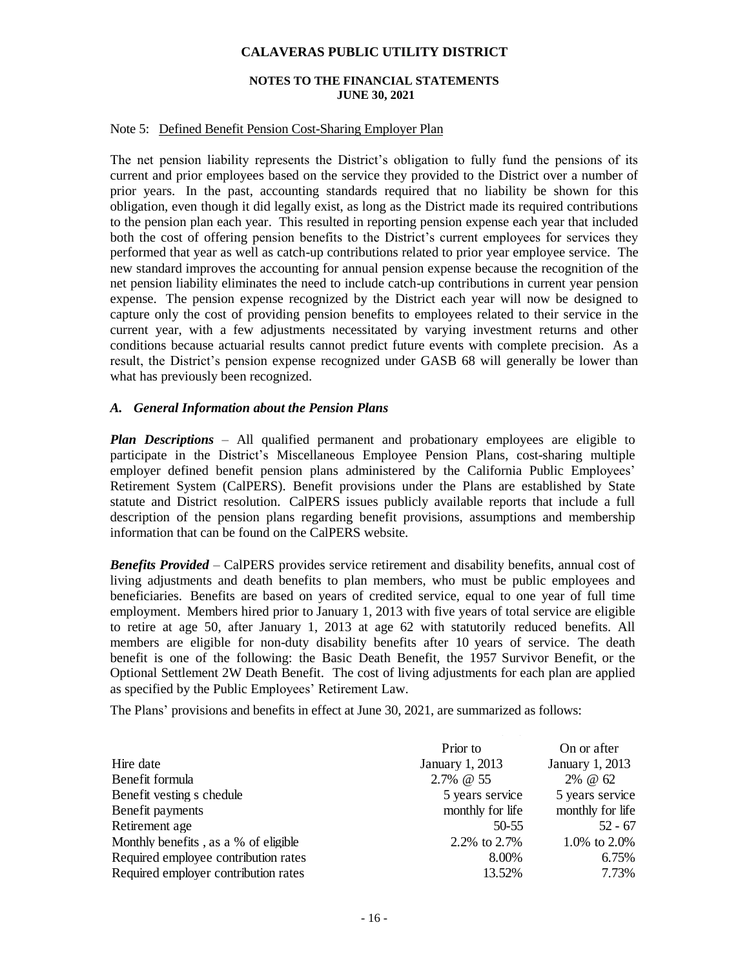#### **NOTES TO THE FINANCIAL STATEMENTS JUNE 30, 2021**

#### Note 5: Defined Benefit Pension Cost-Sharing Employer Plan

The net pension liability represents the District's obligation to fully fund the pensions of its current and prior employees based on the service they provided to the District over a number of prior years. In the past, accounting standards required that no liability be shown for this obligation, even though it did legally exist, as long as the District made its required contributions to the pension plan each year. This resulted in reporting pension expense each year that included both the cost of offering pension benefits to the District's current employees for services they performed that year as well as catch-up contributions related to prior year employee service. The new standard improves the accounting for annual pension expense because the recognition of the net pension liability eliminates the need to include catch-up contributions in current year pension expense. The pension expense recognized by the District each year will now be designed to capture only the cost of providing pension benefits to employees related to their service in the current year, with a few adjustments necessitated by varying investment returns and other conditions because actuarial results cannot predict future events with complete precision. As a result, the District's pension expense recognized under GASB 68 will generally be lower than what has previously been recognized.

#### *A. General Information about the Pension Plans*

*Plan Descriptions* – All qualified permanent and probationary employees are eligible to participate in the District's Miscellaneous Employee Pension Plans, cost-sharing multiple employer defined benefit pension plans administered by the California Public Employees' Retirement System (CalPERS). Benefit provisions under the Plans are established by State statute and District resolution. CalPERS issues publicly available reports that include a full description of the pension plans regarding benefit provisions, assumptions and membership information that can be found on the CalPERS website.

*Benefits Provided* – CalPERS provides service retirement and disability benefits, annual cost of living adjustments and death benefits to plan members, who must be public employees and beneficiaries. Benefits are based on years of credited service, equal to one year of full time employment. Members hired prior to January 1, 2013 with five years of total service are eligible to retire at age 50, after January 1, 2013 at age 62 with statutorily reduced benefits. All members are eligible for non-duty disability benefits after 10 years of service. The death benefit is one of the following: the Basic Death Benefit, the 1957 Survivor Benefit, or the Optional Settlement 2W Death Benefit. The cost of living adjustments for each plan are applied as specified by the Public Employees' Retirement Law.

The Plans' provisions and benefits in effect at June 30, 2021, are summarized as follows:

|                                      | Prior to         | On or after      |
|--------------------------------------|------------------|------------------|
| Hire date                            | January 1, 2013  | January 1, 2013  |
| Benefit formula                      | 2.7% @ 55        | 2% @ 62          |
| Benefit vesting s chedule            | 5 years service  | 5 years service  |
| Benefit payments                     | monthly for life | monthly for life |
| Retirement age                       | 50-55            | $52 - 67$        |
| Monthly benefits, as a % of eligible | 2.2\% to 2.7\%   | 1.0% to 2.0%     |
| Required employee contribution rates | 8.00%            | 6.75%            |
| Required employer contribution rates | 13.52%           | 7.73%            |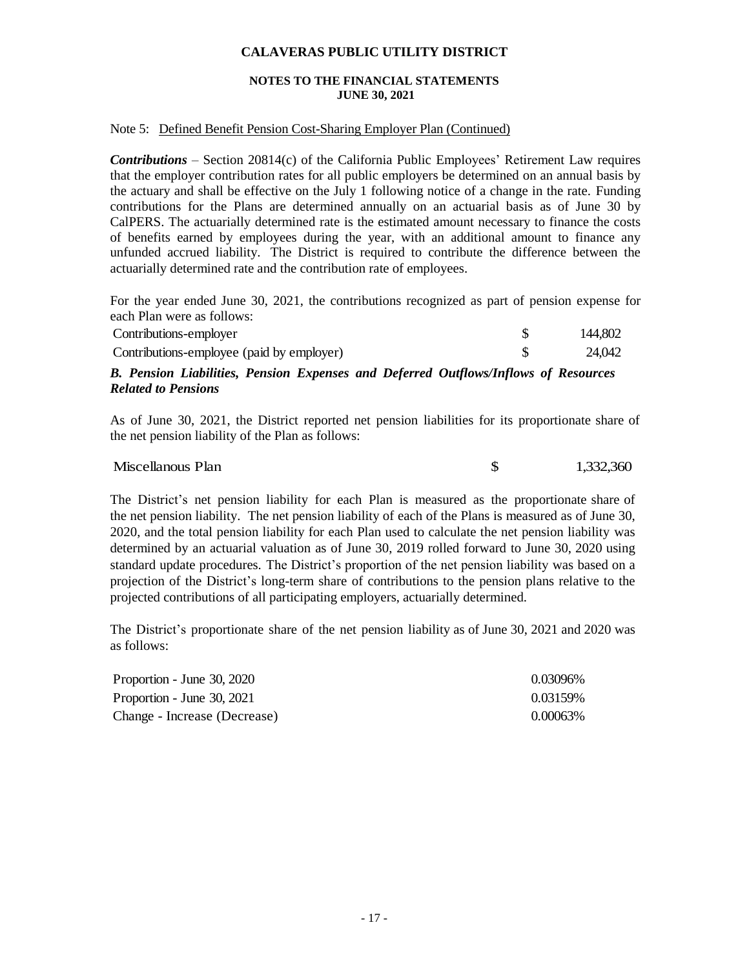#### **NOTES TO THE FINANCIAL STATEMENTS JUNE 30, 2021**

#### Note 5: Defined Benefit Pension Cost-Sharing Employer Plan (Continued)

*Contributions* – Section 20814(c) of the California Public Employees' Retirement Law requires that the employer contribution rates for all public employers be determined on an annual basis by the actuary and shall be effective on the July 1 following notice of a change in the rate. Funding contributions for the Plans are determined annually on an actuarial basis as of June 30 by CalPERS. The actuarially determined rate is the estimated amount necessary to finance the costs of benefits earned by employees during the year, with an additional amount to finance any unfunded accrued liability. The District is required to contribute the difference between the actuarially determined rate and the contribution rate of employees.

For the year ended June 30, 2021, the contributions recognized as part of pension expense for each Plan were as follows:

| D. Dennian Labilitze, Dennian Emperora and Defensed Ontflame Laflame of Department |         |
|------------------------------------------------------------------------------------|---------|
| Contributions-employee (paid by employer)                                          | 24.042  |
| Contributions-employer                                                             | 144.802 |

#### *B. Pension Liabilities, Pension Expenses and Deferred Outflows/Inflows of Resources Related to Pensions*

As of June 30, 2021, the District reported net pension liabilities for its proportionate share of the net pension liability of the Plan as follows:

Miscellanous Plan  $\frac{1,332,360}{1,332,360}$ 

The District's net pension liability for each Plan is measured as the proportionate share of the net pension liability. The net pension liability of each of the Plans is measured as of June 30, 2020, and the total pension liability for each Plan used to calculate the net pension liability was determined by an actuarial valuation as of June 30, 2019 rolled forward to June 30, 2020 using standard update procedures. The District's proportion of the net pension liability was based on a projection of the District's long-term share of contributions to the pension plans relative to the projected contributions of all participating employers, actuarially determined.

The District's proportionate share of the net pension liability as of June 30, 2021 and 2020 was as follows:

| Proportion - June 30, 2020   | 0.03096% |
|------------------------------|----------|
| Proportion - June 30, 2021   | 0.03159% |
| Change - Increase (Decrease) | 0.00063% |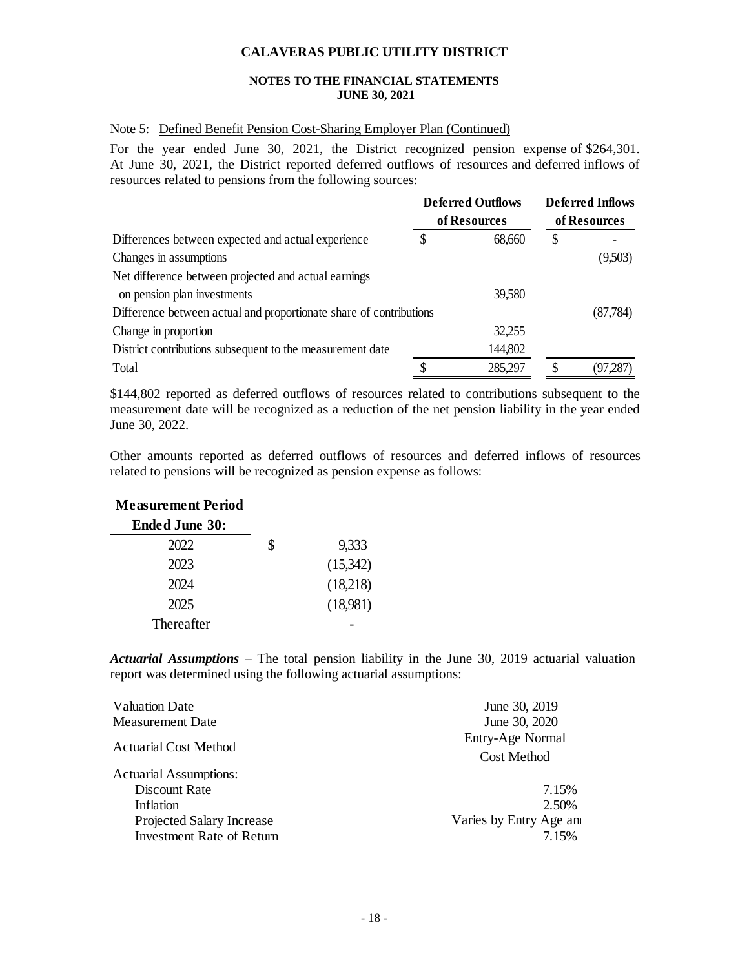#### **NOTES TO THE FINANCIAL STATEMENTS JUNE 30, 2021**

#### Note 5: Defined Benefit Pension Cost-Sharing Employer Plan (Continued)

For the year ended June 30, 2021, the District recognized pension expense of \$264,301. At June 30, 2021, the District reported deferred outflows of resources and deferred inflows of resources related to pensions from the following sources:

|                                                                    | <b>Deferred Outflows</b> |              | <b>Deferred Inflows</b> |  |
|--------------------------------------------------------------------|--------------------------|--------------|-------------------------|--|
|                                                                    | of Resources             | of Resources |                         |  |
| Differences between expected and actual experience                 | \$<br>68,660             | \$           |                         |  |
| Changes in assumptions                                             |                          |              | (9,503)                 |  |
| Net difference between projected and actual earnings               |                          |              |                         |  |
| on pension plan investments                                        | 39,580                   |              |                         |  |
| Difference between actual and proportionate share of contributions |                          |              | (87, 784)               |  |
| Change in proportion                                               | 32,255                   |              |                         |  |
| District contributions subsequent to the measurement date          | 144,802                  |              |                         |  |
| Total                                                              | \$<br>285,297            |              | (97, 287)               |  |

\$144,802 reported as deferred outflows of resources related to contributions subsequent to the measurement date will be recognized as a reduction of the net pension liability in the year ended June 30, 2022.

Other amounts reported as deferred outflows of resources and deferred inflows of resources related to pensions will be recognized as pension expense as follows:

#### **Measurement Period**

| <b>Ended June 30:</b> |   |          |
|-----------------------|---|----------|
| 2022                  | S | 9,333    |
| 2023                  |   | (15,342) |
| 2024                  |   | (18,218) |
| 2025                  |   | (18,981) |
| Thereafter            |   |          |

*Actuarial Assumptions* – The total pension liability in the June 30, 2019 actuarial valuation report was determined using the following actuarial assumptions:

| <b>Valuation Date</b>            | June 30, 2019           |  |  |  |
|----------------------------------|-------------------------|--|--|--|
| <b>Measurement Date</b>          | June 30, 2020           |  |  |  |
| <b>Actuarial Cost Method</b>     | Entry-Age Normal        |  |  |  |
|                                  | <b>Cost Method</b>      |  |  |  |
| <b>Actuarial Assumptions:</b>    |                         |  |  |  |
| Discount Rate                    | 7.15%                   |  |  |  |
| Inflation                        | 2.50%                   |  |  |  |
| <b>Projected Salary Increase</b> | Varies by Entry Age and |  |  |  |
| <b>Investment Rate of Return</b> | 7.15%                   |  |  |  |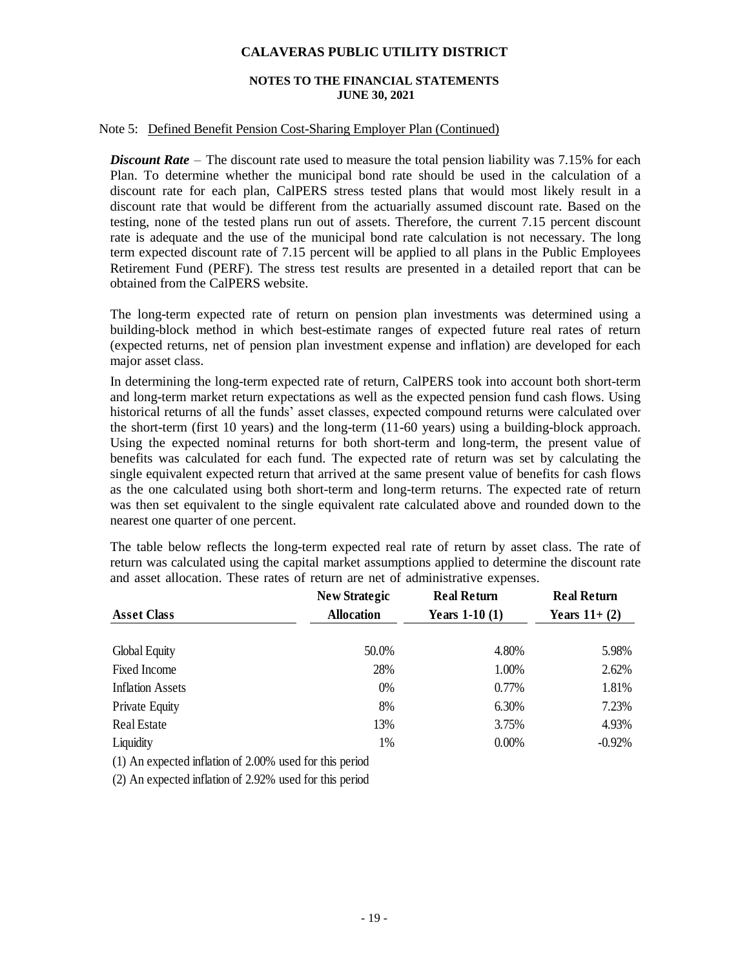#### **NOTES TO THE FINANCIAL STATEMENTS JUNE 30, 2021**

#### Note 5: Defined Benefit Pension Cost-Sharing Employer Plan (Continued)

*Discount Rate* – The discount rate used to measure the total pension liability was 7.15% for each Plan. To determine whether the municipal bond rate should be used in the calculation of a discount rate for each plan, CalPERS stress tested plans that would most likely result in a discount rate that would be different from the actuarially assumed discount rate. Based on the testing, none of the tested plans run out of assets. Therefore, the current 7.15 percent discount rate is adequate and the use of the municipal bond rate calculation is not necessary. The long term expected discount rate of 7.15 percent will be applied to all plans in the Public Employees Retirement Fund (PERF). The stress test results are presented in a detailed report that can be obtained from the CalPERS website.

The long-term expected rate of return on pension plan investments was determined using a building-block method in which best-estimate ranges of expected future real rates of return (expected returns, net of pension plan investment expense and inflation) are developed for each major asset class.

In determining the long-term expected rate of return, CalPERS took into account both short-term and long-term market return expectations as well as the expected pension fund cash flows. Using historical returns of all the funds' asset classes, expected compound returns were calculated over the short-term (first 10 years) and the long-term (11-60 years) using a building-block approach. Using the expected nominal returns for both short-term and long-term, the present value of benefits was calculated for each fund. The expected rate of return was set by calculating the single equivalent expected return that arrived at the same present value of benefits for cash flows as the one calculated using both short-term and long-term returns. The expected rate of return was then set equivalent to the single equivalent rate calculated above and rounded down to the nearest one quarter of one percent.

The table below reflects the long-term expected real rate of return by asset class. The rate of return was calculated using the capital market assumptions applied to determine the discount rate and asset allocation. These rates of return are net of administrative expenses.

|                         | <b>New Strategic</b> | <b>Real Return</b> | <b>Real Return</b> |
|-------------------------|----------------------|--------------------|--------------------|
| <b>Asset Class</b>      | <b>Allocation</b>    | Years $1-10(1)$    | Years $11+(2)$     |
| Global Equity           | 50.0%                | 4.80%              | 5.98%              |
| Fixed Income            | 28%                  | 1.00%              | 2.62%              |
| <b>Inflation Assets</b> | 0%                   | 0.77%              | 1.81%              |
| <b>Private Equity</b>   | 8%                   | 6.30%              | 7.23%              |
| Real Estate             | 13%                  | 3.75%              | 4.93%              |
| Liquidity               | 1%                   | 0.00%              | $-0.92%$           |

(1) An expected inflation of 2.00% used for this period

(2) An expected inflation of 2.92% used for this period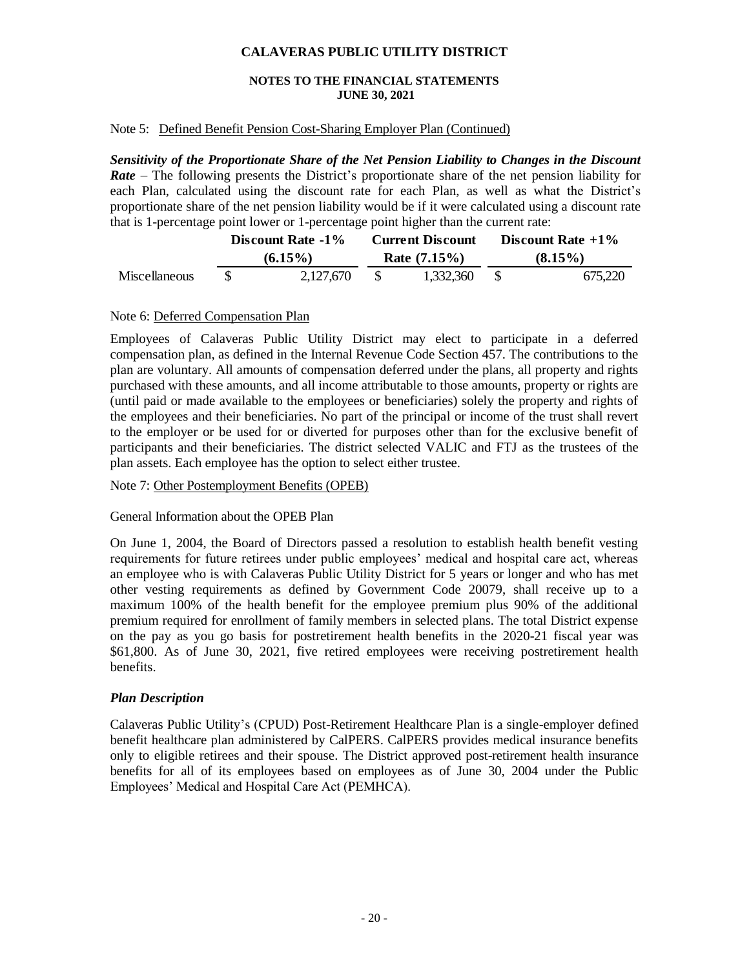#### **NOTES TO THE FINANCIAL STATEMENTS JUNE 30, 2021**

#### Note 5: Defined Benefit Pension Cost-Sharing Employer Plan (Continued)

*Sensitivity of the Proportionate Share of the Net Pension Liability to Changes in the Discount Rate* – The following presents the District's proportionate share of the net pension liability for each Plan, calculated using the discount rate for each Plan, as well as what the District's proportionate share of the net pension liability would be if it were calculated using a discount rate that is 1-percentage point lower or 1-percentage point higher than the current rate:

|               | Discount Rate -1% |  | <b>Current Discount</b> | Discount Rate $+1\%$ |         |  |
|---------------|-------------------|--|-------------------------|----------------------|---------|--|
|               | $(6.15\%)$        |  | Rate $(7.15\%)$         | $(8.15\%)$           |         |  |
| Miscellaneous | 2,127,670         |  | 1,332,360               |                      | 675.220 |  |

#### Note 6: Deferred Compensation Plan

Employees of Calaveras Public Utility District may elect to participate in a deferred compensation plan, as defined in the Internal Revenue Code Section 457. The contributions to the plan are voluntary. All amounts of compensation deferred under the plans, all property and rights purchased with these amounts, and all income attributable to those amounts, property or rights are (until paid or made available to the employees or beneficiaries) solely the property and rights of the employees and their beneficiaries. No part of the principal or income of the trust shall revert to the employer or be used for or diverted for purposes other than for the exclusive benefit of participants and their beneficiaries. The district selected VALIC and FTJ as the trustees of the plan assets. Each employee has the option to select either trustee.

#### Note 7: Other Postemployment Benefits (OPEB)

#### General Information about the OPEB Plan

On June 1, 2004, the Board of Directors passed a resolution to establish health benefit vesting requirements for future retirees under public employees' medical and hospital care act, whereas an employee who is with Calaveras Public Utility District for 5 years or longer and who has met other vesting requirements as defined by Government Code 20079, shall receive up to a maximum 100% of the health benefit for the employee premium plus 90% of the additional premium required for enrollment of family members in selected plans. The total District expense on the pay as you go basis for postretirement health benefits in the 2020-21 fiscal year was \$61,800. As of June 30, 2021, five retired employees were receiving postretirement health benefits.

#### *Plan Description*

Calaveras Public Utility's (CPUD) Post-Retirement Healthcare Plan is a single-employer defined benefit healthcare plan administered by CalPERS. CalPERS provides medical insurance benefits only to eligible retirees and their spouse. The District approved post-retirement health insurance benefits for all of its employees based on employees as of June 30, 2004 under the Public Employees' Medical and Hospital Care Act (PEMHCA).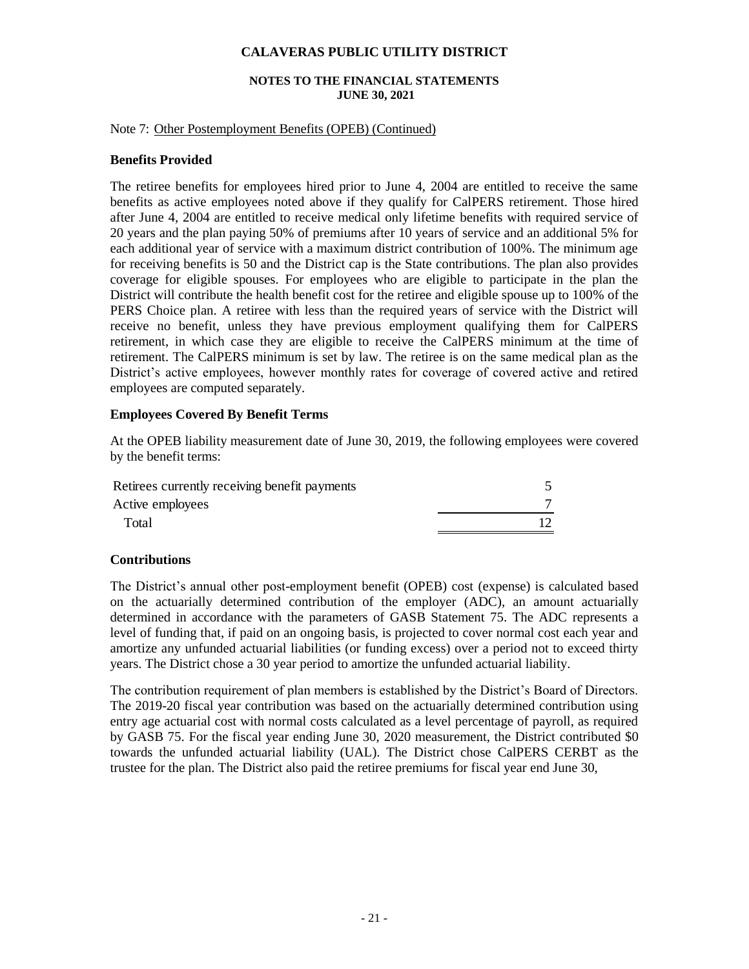#### **NOTES TO THE FINANCIAL STATEMENTS JUNE 30, 2021**

#### Note 7: Other Postemployment Benefits (OPEB) (Continued)

#### **Benefits Provided**

The retiree benefits for employees hired prior to June 4, 2004 are entitled to receive the same benefits as active employees noted above if they qualify for CalPERS retirement. Those hired after June 4, 2004 are entitled to receive medical only lifetime benefits with required service of 20 years and the plan paying 50% of premiums after 10 years of service and an additional 5% for each additional year of service with a maximum district contribution of 100%. The minimum age for receiving benefits is 50 and the District cap is the State contributions. The plan also provides coverage for eligible spouses. For employees who are eligible to participate in the plan the District will contribute the health benefit cost for the retiree and eligible spouse up to 100% of the PERS Choice plan. A retiree with less than the required years of service with the District will receive no benefit, unless they have previous employment qualifying them for CalPERS retirement, in which case they are eligible to receive the CalPERS minimum at the time of retirement. The CalPERS minimum is set by law. The retiree is on the same medical plan as the District's active employees, however monthly rates for coverage of covered active and retired employees are computed separately.

#### **Employees Covered By Benefit Terms**

At the OPEB liability measurement date of June 30, 2019, the following employees were covered by the benefit terms:

| Retirees currently receiving benefit payments |  |
|-----------------------------------------------|--|
| Active employees                              |  |
| Total                                         |  |

#### **Contributions**

The District's annual other post-employment benefit (OPEB) cost (expense) is calculated based on the actuarially determined contribution of the employer (ADC), an amount actuarially determined in accordance with the parameters of GASB Statement 75. The ADC represents a level of funding that, if paid on an ongoing basis, is projected to cover normal cost each year and amortize any unfunded actuarial liabilities (or funding excess) over a period not to exceed thirty years. The District chose a 30 year period to amortize the unfunded actuarial liability.

The contribution requirement of plan members is established by the District's Board of Directors. The 2019-20 fiscal year contribution was based on the actuarially determined contribution using entry age actuarial cost with normal costs calculated as a level percentage of payroll, as required by GASB 75. For the fiscal year ending June 30, 2020 measurement, the District contributed \$0 towards the unfunded actuarial liability (UAL). The District chose CalPERS CERBT as the trustee for the plan. The District also paid the retiree premiums for fiscal year end June 30,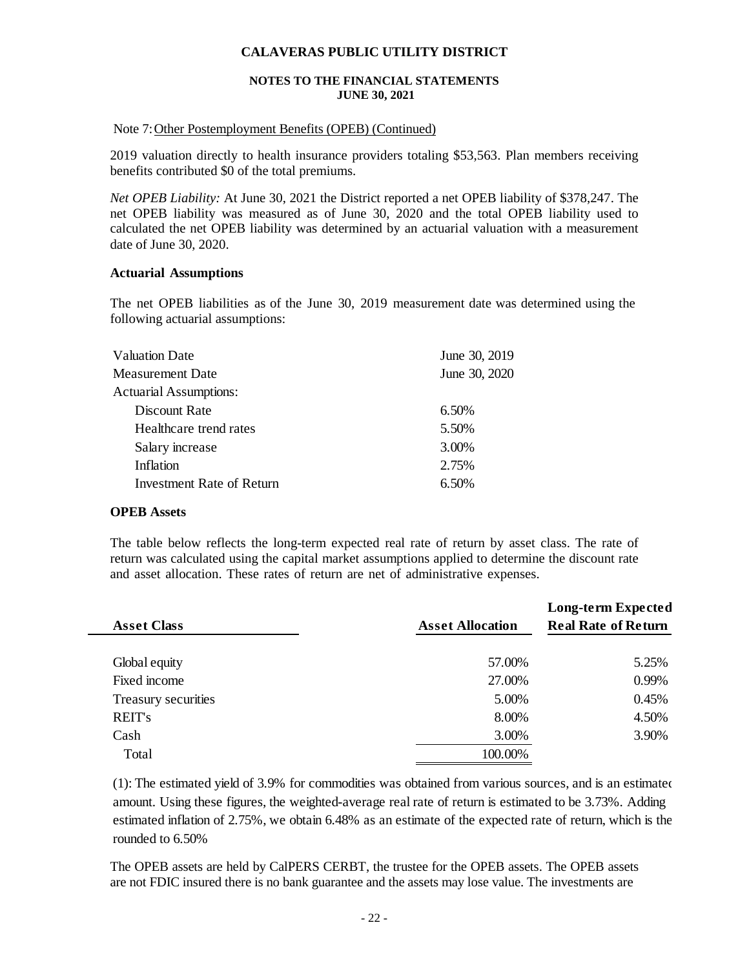#### **NOTES TO THE FINANCIAL STATEMENTS JUNE 30, 2021**

#### Note 7:Other Postemployment Benefits (OPEB) (Continued)

2019 valuation directly to health insurance providers totaling \$53,563. Plan members receiving benefits contributed \$0 of the total premiums.

*Net OPEB Liability:* At June 30, 2021 the District reported a net OPEB liability of \$378,247. The net OPEB liability was measured as of June 30, 2020 and the total OPEB liability used to calculated the net OPEB liability was determined by an actuarial valuation with a measurement date of June 30, 2020.

#### **Actuarial Assumptions**

The net OPEB liabilities as of the June 30, 2019 measurement date was determined using the following actuarial assumptions:

| June 30, 2019 |
|---------------|
| June 30, 2020 |
|               |
| 6.50%         |
| 5.50%         |
| 3.00%         |
| 2.75%         |
| 6.50%         |
|               |

#### **OPEB Assets**

The table below reflects the long-term expected real rate of return by asset class. The rate of return was calculated using the capital market assumptions applied to determine the discount rate and asset allocation. These rates of return are net of administrative expenses.

|                     |                         | <b>Long-term Expected</b>  |
|---------------------|-------------------------|----------------------------|
| <b>Asset Class</b>  | <b>Asset Allocation</b> | <b>Real Rate of Return</b> |
|                     |                         |                            |
| Global equity       | 57.00%                  | 5.25%                      |
| Fixed income        | 27.00%                  | 0.99%                      |
| Treasury securities | 5.00%                   | 0.45%                      |
| <b>REIT's</b>       | 8.00%                   | 4.50%                      |
| Cash                | 3.00%                   | 3.90%                      |
| Total               | 100.00%                 |                            |

(1): The estimated yield of 3.9% for commodities was obtained from various sources, and is an estimated amount. Using these figures, the weighted-average real rate of return is estimated to be 3.73%. Adding estimated inflation of 2.75%, we obtain 6.48% as an estimate of the expected rate of return, which is the rounded to 6.50%

The OPEB assets are held by CalPERS CERBT, the trustee for the OPEB assets. The OPEB assets are not FDIC insured there is no bank guarantee and the assets may lose value. The investments are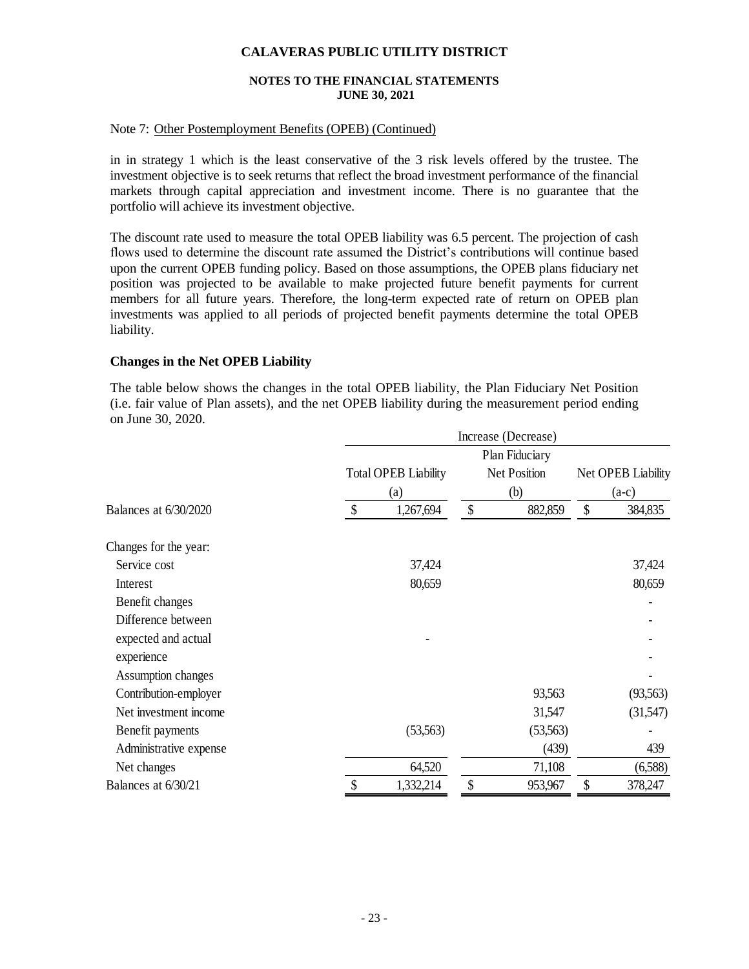#### **NOTES TO THE FINANCIAL STATEMENTS JUNE 30, 2021**

#### Note 7: Other Postemployment Benefits (OPEB) (Continued)

in in strategy 1 which is the least conservative of the 3 risk levels offered by the trustee. The investment objective is to seek returns that reflect the broad investment performance of the financial markets through capital appreciation and investment income. There is no guarantee that the portfolio will achieve its investment objective.

The discount rate used to measure the total OPEB liability was 6.5 percent. The projection of cash flows used to determine the discount rate assumed the District's contributions will continue based upon the current OPEB funding policy. Based on those assumptions, the OPEB plans fiduciary net position was projected to be available to make projected future benefit payments for current members for all future years. Therefore, the long-term expected rate of return on OPEB plan investments was applied to all periods of projected benefit payments determine the total OPEB liability.

#### **Changes in the Net OPEB Liability**

The table below shows the changes in the total OPEB liability, the Plan Fiduciary Net Position (i.e. fair value of Plan assets), and the net OPEB liability during the measurement period ending on June 30, 2020.

|                        | Increase (Decrease)       |                                    |                           |                |                               |           |  |  |  |
|------------------------|---------------------------|------------------------------------|---------------------------|----------------|-------------------------------|-----------|--|--|--|
|                        |                           |                                    |                           | Plan Fiduciary |                               |           |  |  |  |
|                        |                           | <b>Total OPEB Liability</b><br>(a) |                           |                | Net OPEB Liability<br>$(a-c)$ |           |  |  |  |
|                        |                           |                                    |                           |                |                               |           |  |  |  |
| Balances at 6/30/2020  | $\boldsymbol{\mathsf{S}}$ | 1,267,694                          | $\boldsymbol{\mathsf{S}}$ | (b)<br>882,859 |                               | 384,835   |  |  |  |
| Changes for the year:  |                           |                                    |                           |                |                               |           |  |  |  |
| Service cost           |                           | 37,424                             |                           |                |                               | 37,424    |  |  |  |
| Interest               |                           | 80,659                             |                           |                |                               | 80,659    |  |  |  |
| Benefit changes        |                           |                                    |                           |                |                               |           |  |  |  |
| Difference between     |                           |                                    |                           |                |                               |           |  |  |  |
| expected and actual    |                           |                                    |                           |                |                               |           |  |  |  |
| experience             |                           |                                    |                           |                |                               |           |  |  |  |
| Assumption changes     |                           |                                    |                           |                |                               |           |  |  |  |
| Contribution-employer  |                           |                                    |                           | 93,563         |                               | (93, 563) |  |  |  |
| Net investment income  |                           |                                    |                           | 31,547         |                               | (31,547)  |  |  |  |
| Benefit payments       |                           | (53, 563)                          |                           | (53, 563)      |                               |           |  |  |  |
| Administrative expense |                           |                                    |                           | (439)          |                               | 439       |  |  |  |
| Net changes            |                           | 64,520                             |                           | 71,108         |                               | (6,588)   |  |  |  |
| Balances at 6/30/21    | \$                        | 1,332,214                          | \$                        | 953,967        | \$                            | 378,247   |  |  |  |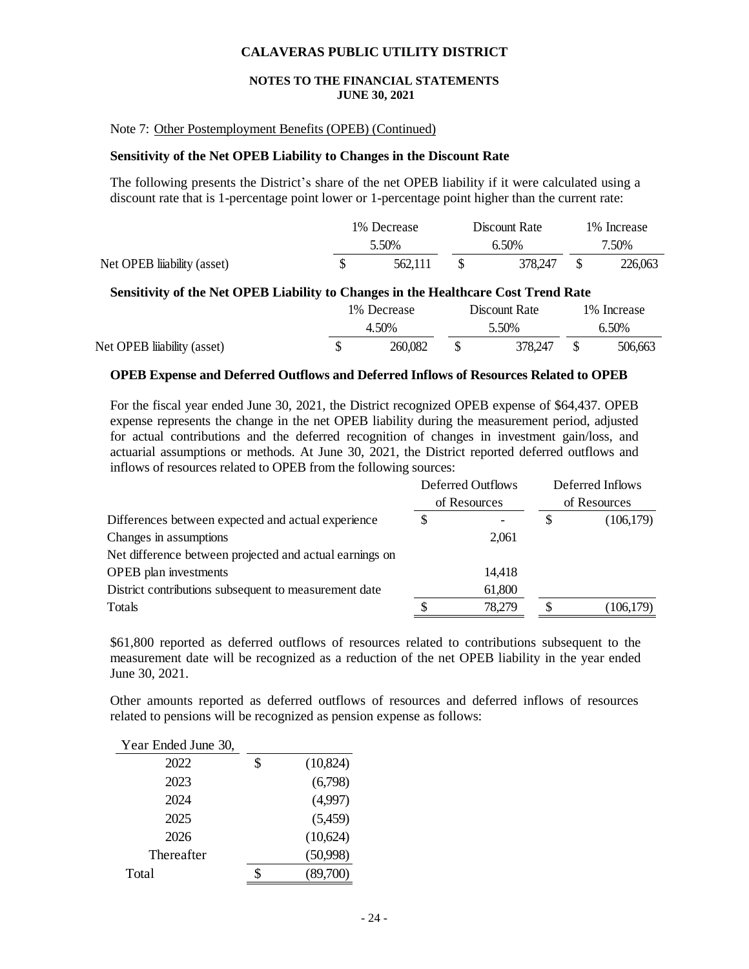#### **NOTES TO THE FINANCIAL STATEMENTS JUNE 30, 2021**

#### Note 7: Other Postemployment Benefits (OPEB) (Continued)

#### **Sensitivity of the Net OPEB Liability to Changes in the Discount Rate**

The following presents the District's share of the net OPEB liability if it were calculated using a discount rate that is 1-percentage point lower or 1-percentage point higher than the current rate:

|                            |       | 1% Decrease | Discount Rate | 1\% Increase |         |  |
|----------------------------|-------|-------------|---------------|--------------|---------|--|
|                            | 5.50% |             | 6.50%         | 7.50%        |         |  |
| Net OPEB liability (asset) |       | 562,111     | 378,247       |              | 226,063 |  |

#### **Sensitivity of the Net OPEB Liability to Changes in the Healthcare Cost Trend Rate**

|                            | 1% Decrease | Discount Rate | 1\% Increase |         |  |
|----------------------------|-------------|---------------|--------------|---------|--|
|                            | 4.50%       | 5.50%         |              | 6.50%   |  |
| Net OPEB liability (asset) | 260,082     | 378.247       |              | 506,663 |  |

#### **OPEB Expense and Deferred Outflows and Deferred Inflows of Resources Related to OPEB**

For the fiscal year ended June 30, 2021, the District recognized OPEB expense of \$64,437. OPEB expense represents the change in the net OPEB liability during the measurement period, adjusted for actual contributions and the deferred recognition of changes in investment gain/loss, and actuarial assumptions or methods. At June 30, 2021, the District reported deferred outflows and inflows of resources related to OPEB from the following sources:

|                                                         | Deferred Outflows |              |              | Deferred Inflows |  |
|---------------------------------------------------------|-------------------|--------------|--------------|------------------|--|
|                                                         |                   | of Resources | of Resources |                  |  |
| Differences between expected and actual experience      |                   |              |              | (106, 179)       |  |
| Changes in assumptions                                  |                   | 2,061        |              |                  |  |
| Net difference between projected and actual earnings on |                   |              |              |                  |  |
| <b>OPEB</b> plan investments                            |                   | 14,418       |              |                  |  |
| District contributions subsequent to measurement date   |                   | 61,800       |              |                  |  |
| Totals                                                  |                   | 78,279       |              | (106, 179)       |  |
|                                                         |                   |              |              |                  |  |

\$61,800 reported as deferred outflows of resources related to contributions subsequent to the measurement date will be recognized as a reduction of the net OPEB liability in the year ended June 30, 2021.

Other amounts reported as deferred outflows of resources and deferred inflows of resources related to pensions will be recognized as pension expense as follows:

| Year Ended June 30, |   |           |
|---------------------|---|-----------|
| 2022                | S | (10, 824) |
| 2023                |   | (6,798)   |
| 2024                |   | (4,997)   |
| 2025                |   | (5,459)   |
| 2026                |   | (10,624)  |
| Thereafter          |   | (50,998)  |
| Total               |   | (89,700)  |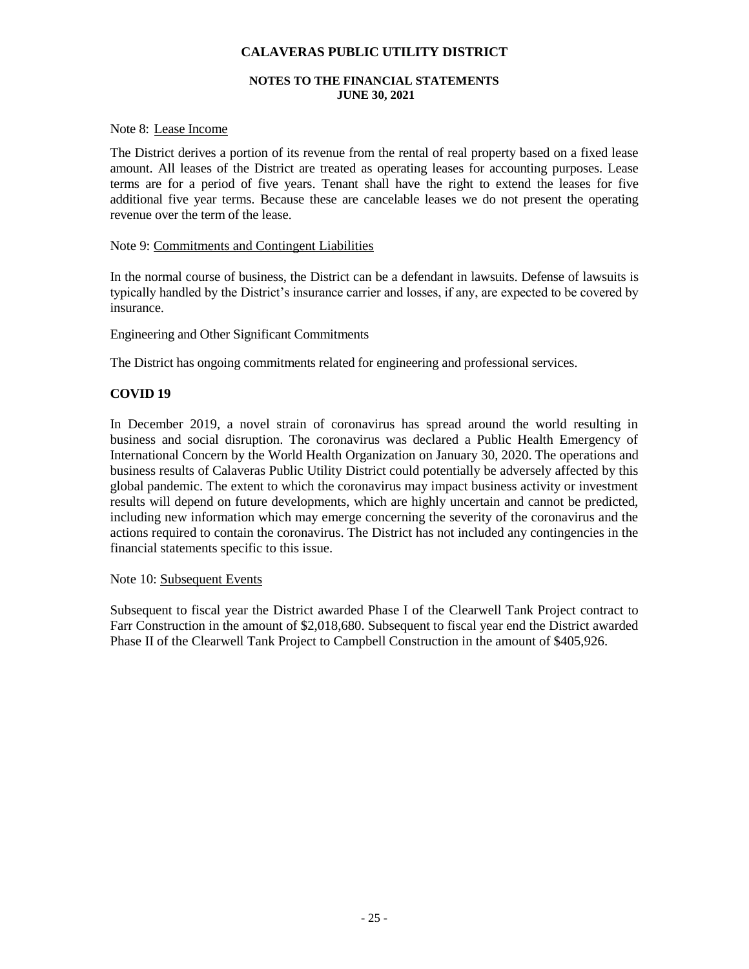#### **NOTES TO THE FINANCIAL STATEMENTS JUNE 30, 2021**

#### Note 8: Lease Income

The District derives a portion of its revenue from the rental of real property based on a fixed lease amount. All leases of the District are treated as operating leases for accounting purposes. Lease terms are for a period of five years. Tenant shall have the right to extend the leases for five additional five year terms. Because these are cancelable leases we do not present the operating revenue over the term of the lease.

#### Note 9: Commitments and Contingent Liabilities

In the normal course of business, the District can be a defendant in lawsuits. Defense of lawsuits is typically handled by the District's insurance carrier and losses, if any, are expected to be covered by insurance.

Engineering and Other Significant Commitments

The District has ongoing commitments related for engineering and professional services.

#### **COVID 19**

In December 2019, a novel strain of coronavirus has spread around the world resulting in business and social disruption. The coronavirus was declared a Public Health Emergency of International Concern by the World Health Organization on January 30, 2020. The operations and business results of Calaveras Public Utility District could potentially be adversely affected by this global pandemic. The extent to which the coronavirus may impact business activity or investment results will depend on future developments, which are highly uncertain and cannot be predicted, including new information which may emerge concerning the severity of the coronavirus and the actions required to contain the coronavirus. The District has not included any contingencies in the financial statements specific to this issue.

#### Note 10: Subsequent Events

Subsequent to fiscal year the District awarded Phase I of the Clearwell Tank Project contract to Farr Construction in the amount of \$2,018,680. Subsequent to fiscal year end the District awarded Phase II of the Clearwell Tank Project to Campbell Construction in the amount of \$405,926.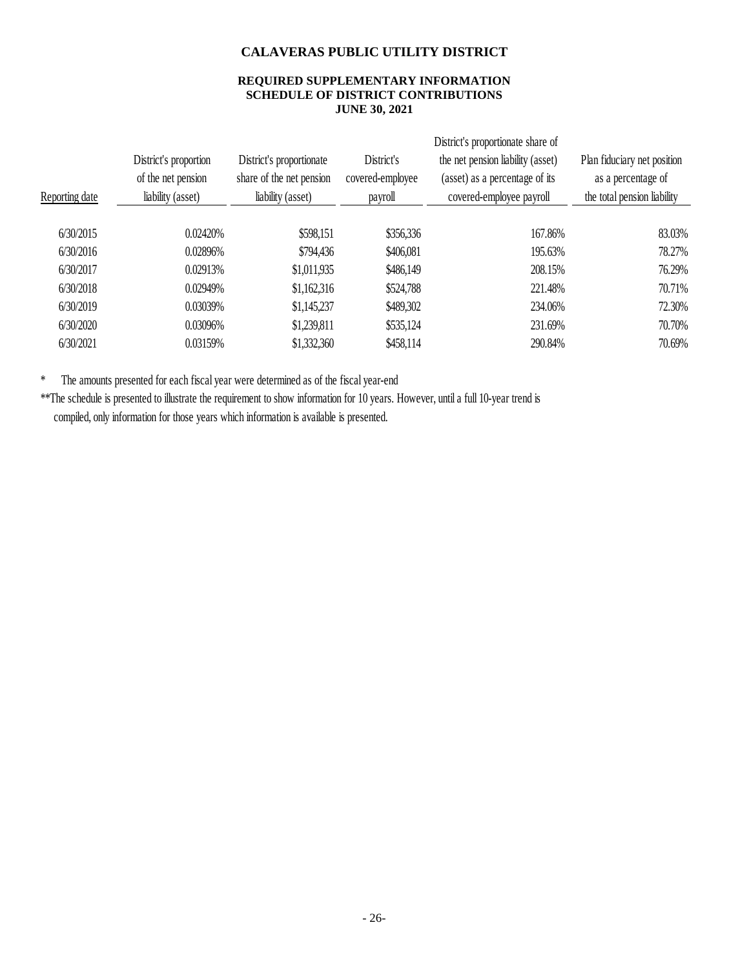#### **REQUIRED SUPPLEMENTARY INFORMATION SCHEDULE OF DISTRICT CONTRIBUTIONS JUNE 30, 2021**

| Reporting date | District's proportion<br>of the net pension<br>liability (asset) | District's proportionate<br>share of the net pension<br>liability (asset) | District's<br>covered-employee<br>payroll | District's proportionate share of<br>the net pension liability (asset)<br>(asset) as a percentage of its<br>covered-employee payroll | Plan fiduciary net position<br>as a percentage of<br>the total pension liability |
|----------------|------------------------------------------------------------------|---------------------------------------------------------------------------|-------------------------------------------|--------------------------------------------------------------------------------------------------------------------------------------|----------------------------------------------------------------------------------|
| 6/30/2015      | 0.02420%                                                         | \$598,151                                                                 | \$356,336                                 | 167.86%                                                                                                                              | 83.03%                                                                           |
|                |                                                                  |                                                                           |                                           |                                                                                                                                      |                                                                                  |
| 6/30/2016      | 0.02896%                                                         | \$794,436                                                                 | \$406,081                                 | 195.63%                                                                                                                              | 78.27%                                                                           |
| 6/30/2017      | 0.02913%                                                         | \$1,011,935                                                               | \$486,149                                 | 208.15%                                                                                                                              | 76.29%                                                                           |
| 6/30/2018      | 0.02949%                                                         | \$1,162,316                                                               | \$524,788                                 | 221.48%                                                                                                                              | 70.71%                                                                           |
| 6/30/2019      | 0.03039%                                                         | \$1,145,237                                                               | \$489,302                                 | 234.06%                                                                                                                              | 72.30%                                                                           |
| 6/30/2020      | 0.03096%                                                         | \$1,239,811                                                               | \$535,124                                 | 231.69%                                                                                                                              | 70.70%                                                                           |
| 6/30/2021      | 0.03159%                                                         | \$1,332,360                                                               | \$458,114                                 | 290.84%                                                                                                                              | 70.69%                                                                           |
|                |                                                                  |                                                                           |                                           |                                                                                                                                      |                                                                                  |

\* The amounts presented for each fiscal year were determined as of the fiscal year-end

\*\*The schedule is presented to illustrate the requirement to show information for 10 years. However, until a full 10-year trend is compiled, only information for those years which information is available is presented.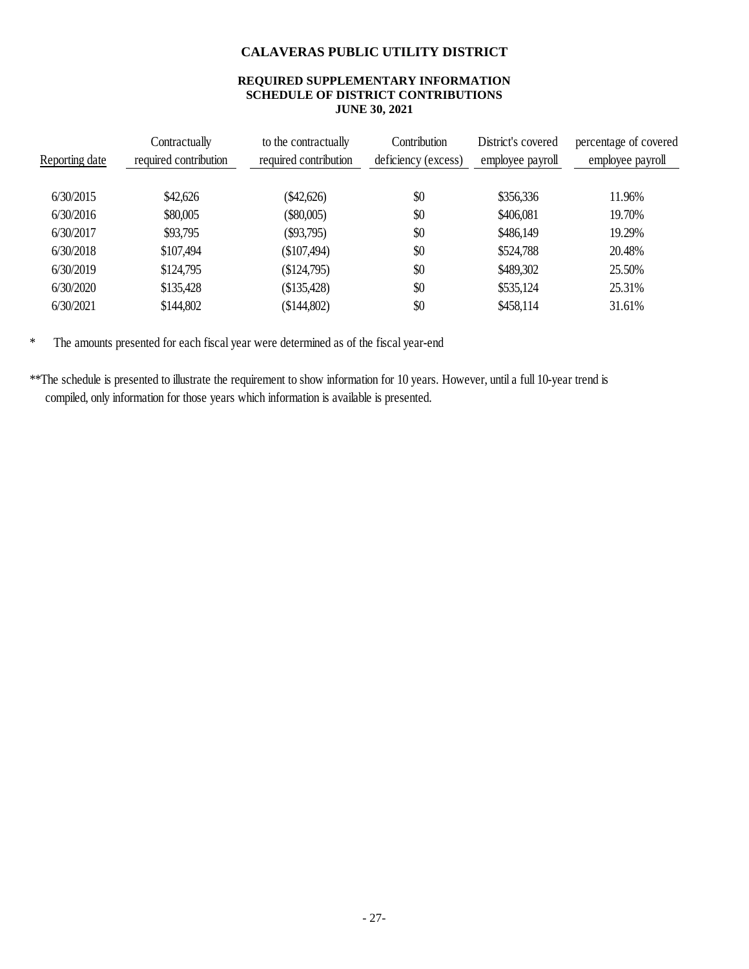#### **REQUIRED SUPPLEMENTARY INFORMATION SCHEDULE OF DISTRICT CONTRIBUTIONS JUNE 30, 2021**

| Reporting date | Contractually<br>required contribution | to the contractually<br>required contribution | Contribution<br>deficiency (excess) | District's covered<br>employee payroll | percentage of covered<br>employee payroll |
|----------------|----------------------------------------|-----------------------------------------------|-------------------------------------|----------------------------------------|-------------------------------------------|
| 6/30/2015      | \$42,626                               | $(\$42,626)$                                  | \$0                                 | \$356,336                              | 11.96%                                    |
| 6/30/2016      | \$80,005                               | $(\$80,005)$                                  | \$0                                 | \$406,081                              | 19.70%                                    |
| 6/30/2017      | \$93,795                               | $(\$93,795)$                                  | \$0                                 | \$486,149                              | 19.29%                                    |
| 6/30/2018      | \$107,494                              | (\$107,494)                                   | \$0                                 | \$524,788                              | 20.48%                                    |
| 6/30/2019      | \$124,795                              | \$124,795                                     | \$0                                 | \$489,302                              | 25.50%                                    |
| 6/30/2020      | \$135,428                              | \$135,428                                     | \$0                                 | \$535,124                              | 25.31%                                    |
| 6/30/2021      | \$144,802                              | \$144,802                                     | \$0                                 | \$458,114                              | 31.61%                                    |

\* The amounts presented for each fiscal year were determined as of the fiscal year-end

\*\*The schedule is presented to illustrate the requirement to show information for 10 years. However, until a full 10-year trend is compiled, only information for those years which information is available is presented.